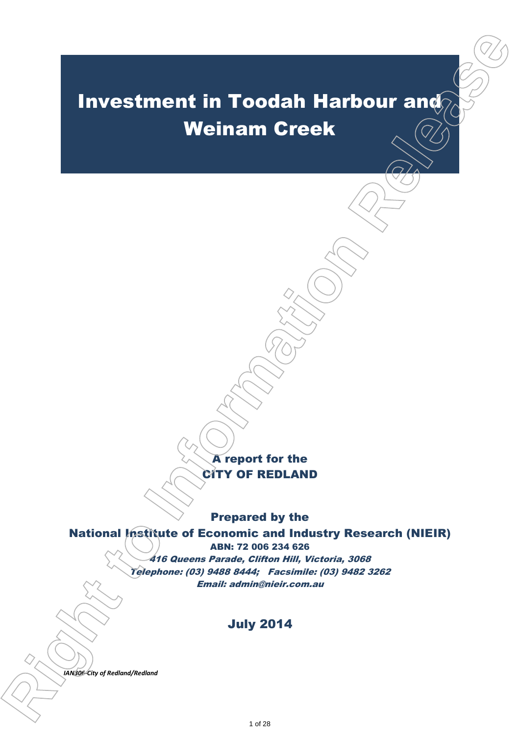# Investment in Toodah Harbour and Weinam Creek **investment in Toodah Harbour and Weinam Creek**<br>
Weinam Creek<br>
Contract to the Areport for the Areport of Republic of Economic and Industry Research (NIEIR)<br>
Propert of Republic of Economic and Industry Research (NIEIR)<br>
A

A report for the CITY OF REDLAND

Prepared by the

### National Institute of Economic and Industry Research (NIEIR)

ABN: 72 006 234 626 416 Queens Parade, Clifton Hill, Victoria, 3068 Telephone: (03) 9488 8444; Facsimile: (03) 9482 3262 Email: admin@nieir.com.au

# July 2014

 $IAN306$ -City of Redland/Redland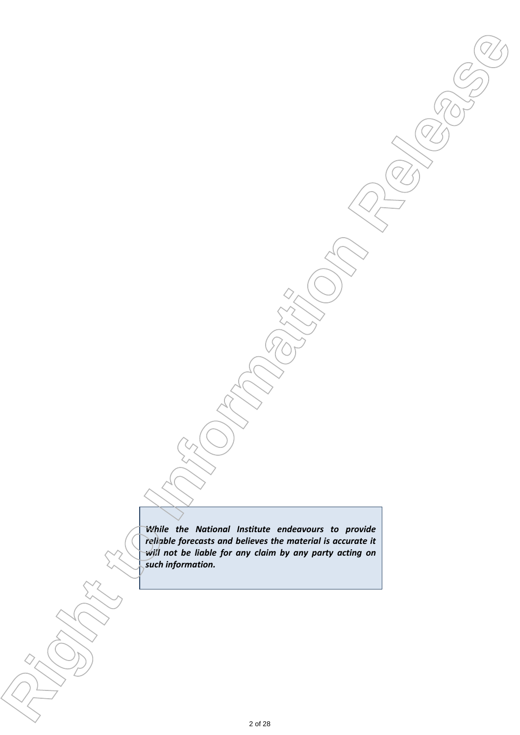*While the National Institute endeavours to provide reliable forecasts and believes the material is accurate it will not be liable for any claim by any party acting on such information.* **ight to Information Contained Institute entropy in the provider**<br> **ight to Information Release and the Internet libe and the Institute of the Institute of Institute of Institute of Institute of Institute of Institute of I**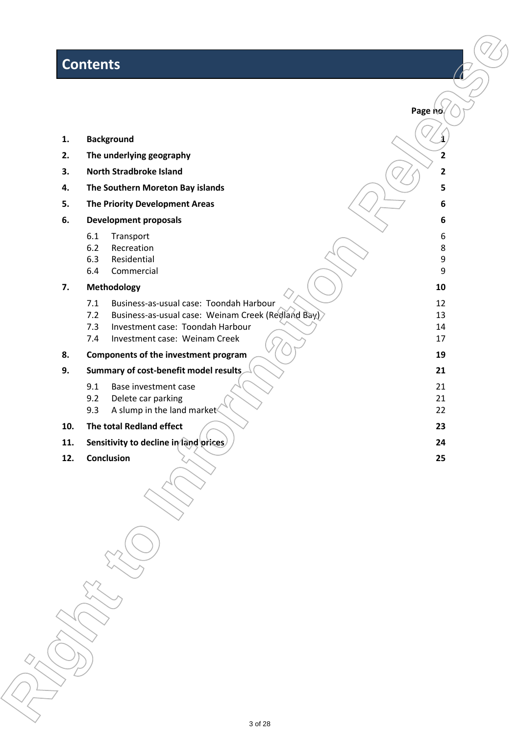# **Contents**

|     | <b>Contents</b>                                                                 |                         |
|-----|---------------------------------------------------------------------------------|-------------------------|
|     |                                                                                 | Page no.                |
| 1.  | <b>Background</b>                                                               |                         |
| 2.  | The underlying geography                                                        | $\overline{\mathbf{c}}$ |
| 3.  | <b>North Stradbroke Island</b>                                                  | 2                       |
| 4.  | The Southern Moreton Bay islands                                                | 5                       |
| 5.  | <b>The Priority Development Areas</b>                                           | 6                       |
| 6.  | <b>Development proposals</b>                                                    | 6                       |
|     | 6.1<br>Transport                                                                | 6                       |
|     | 6.2<br>Recreation                                                               | 8                       |
|     | 6.3<br>Residential<br>6.4<br>Commercial                                         | 9<br>9                  |
| 7.  | Methodology                                                                     | 10                      |
|     | 7.1<br>Business-as-usual case: Toondah Harbour                                  | 12                      |
|     | Business-as-usual case: Weinam Creek (Redland Bay)<br>7.2                       | 13                      |
|     | 7.3<br>Investment case: Toondah Harbour<br>7.4<br>Investment case: Weinam Creek | 14<br>17                |
| 8.  | Components of the investment program                                            | 19                      |
| 9.  | Summary of cost-benefit model results                                           | 21                      |
|     | 9.1<br>Base investment case                                                     | 21                      |
|     | 9.2<br>Delete car parking                                                       | 21                      |
|     | 9.3<br>A slump in the land market                                               | 22                      |
| 10. | The total Redland effect                                                        | 23                      |
| 11. | Sensitivity to decline in fand prices                                           | 24                      |
| 12. | Conclusion                                                                      | 25                      |
|     |                                                                                 |                         |
|     |                                                                                 |                         |
|     |                                                                                 |                         |
|     |                                                                                 |                         |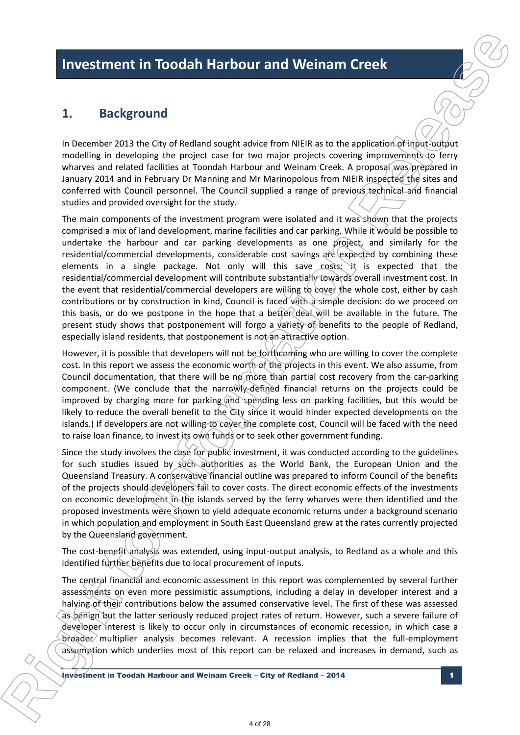# **1. Background**

In December 2013 the City of Redland sought advice from NIEIR as to the application of input-output modelling in developing the project case for two major projects covering improvements to ferry wharves and related facilities at Toondah Harbour and Weinam Creek. A proposal was prepared in January 2014 and in February Dr Manning and Mr Marinopolous from NIEIR inspected the sites and conferred with Council personnel. The Council supplied a range of previous technical and financial studies and provided oversight for the study.

The main components of the investment program were isolated and it was shown that the projects comprised a mix of land development, marine facilities and car parking. While it would be possible to undertake the harbour and car parking developments as one project, and similarly for the residential/commercial developments, considerable cost savings are expected by combining these elements in a single package. Not only will this save  $cos$ is; it is expected that the residential/commercial development will contribute substantially towards overall investment cost. In the event that residential/commercial developers are willing to cover the whole cost, either by cash contributions or by construction in kind, Council is faced with a simple decision: do we proceed on this basis, or do we postpone in the hope that a better deal will be available in the future. The present study shows that postponement will forgo a variety of benefits to the people of Redland, especially island residents, that postponement is not an attractive option. **if nucestiment in Toodah Harbour and Weinam Creek**<br> **is acquisition in the International properties of the International properties of the International properties of the International properties of the International prop** 

However, it is possible that developers will not be forthcoming who are willing to cover the complete cost. In this report we assess the economic worth of the projects in this event. We also assume, from Council documentation, that there will be no more than partial cost recovery from the car-parking component. (We conclude that the narrowly-defined financial returns on the projects could be improved by charging more for parking and spending less on parking facilities, but this would be likely to reduce the overall benefit to the City since it would hinder expected developments on the islands.) If developers are not willing to cover the complete cost, Council will be faced with the need to raise loan finance, to invest its own funds or to seek other government funding.

Since the study involves the case for public investment, it was conducted according to the guidelines for such studies issued by such authorities as the World Bank, the European Union and the Queensland Treasury. A conservative financial outline was prepared to inform Council of the benefits of the projects should developers fail to cover costs. The direct economic effects of the investments on economic development in the islands served by the ferry wharves were then identified and the proposed investments were shown to yield adequate economic returns under a background scenario in which population and employment in South East Queensland grew at the rates currently projected by the Queensland government.

The cost-benefit analysis was extended, using input-output analysis, to Redland as a whole and this identified further benefits due to local procurement of inputs.

The central financial and economic assessment in this report was complemented by several further assessments on even more pessimistic assumptions, including a delay in developer interest and a halving of their contributions below the assumed conservative level. The first of these was assessed as benign but the latter seriously reduced project rates of return. However, such a severe failure of developer interest is likely to occur only in circumstances of economic recession, in which case a broader multiplier analysis becomes relevant. A recession implies that the full-employment assumption which underlies most of this report can be relaxed and increases in demand, such as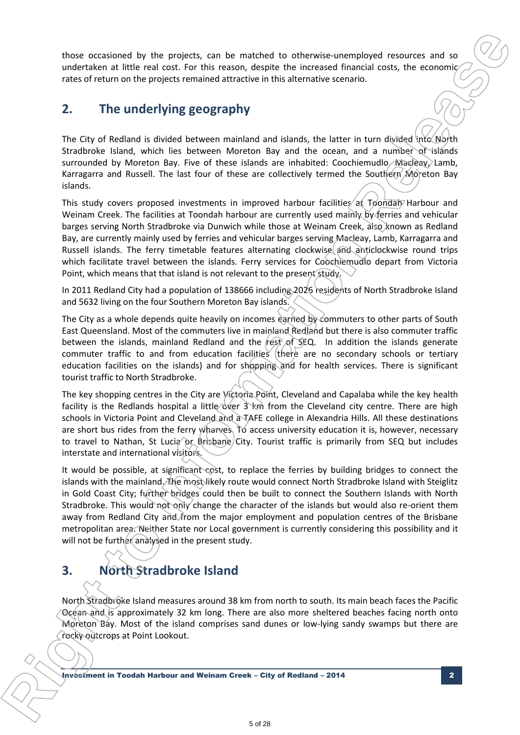those occasioned by the projects, can be matched to otherwise-unemployed resources and so undertaken at little real cost. For this reason, despite the increased financial costs, the economic rates of return on the projects remained attractive in this alternative scenario.

# **2. The underlying geography**

The City of Redland is divided between mainland and islands, the latter in turn divided into North Stradbroke Island, which lies between Moreton Bay and the ocean, and a number of islands surrounded by Moreton Bay. Five of these islands are inhabited: Coochiemudlo, Macleay, Lamb, Karragarra and Russell. The last four of these are collectively termed the Southern Moreton Bay islands.

This study covers proposed investments in improved harbour facilities at Toondahy Harbour and Weinam Creek. The facilities at Toondah harbour are currently used mainly by ferries and vehicular barges serving North Stradbroke via Dunwich while those at Weinam Creek, also known as Redland Bay, are currently mainly used by ferries and vehicular barges serving Macleay, Lamb, Karragarra and Russell islands. The ferry timetable features alternating clockwise and anticlockwise round trips which facilitate travel between the islands. Ferry services for Coochiemudlo depart from Victoria Point, which means that that island is not relevant to the present study.

In 2011 Redland City had a population of 138666 including 2026 residents of North Stradbroke Island and 5632 living on the four Southern Moreton Bay islands.

The City as a whole depends quite heavily on incomes earned by commuters to other parts of South East Queensland. Most of the commuters live in mainland Redland but there is also commuter traffic between the islands, mainland Redland and the  $r$ est of SEQ. In addition the islands generate commuter traffic to and from education facilities (there are no secondary schools or tertiary education facilities on the islands) and for shopping and for health services. There is significant tourist traffic to North Stradbroke.

The key shopping centres in the City are Victoria Point, Cleveland and Capalaba while the key health facility is the Redlands hospital a little over  $3 \times m$  from the Cleveland city centre. There are high schools in Victoria Point and Cleveland and a TAFE college in Alexandria Hills. All these destinations are short bus rides from the ferry wharves. To access university education it is, however, necessary to travel to Nathan, St Lucia pr Brisbane/City. Tourist traffic is primarily from SEQ but includes interstate and international visitors.

It would be possible, at significant cost, to replace the ferries by building bridges to connect the islands with the mainland. The most likely route would connect North Stradbroke Island with Steiglitz in Gold Coast City; further bridges could then be built to connect the Southern Islands with North Stradbroke. This would not only change the character of the islands but would also re-orient them away from Redland City and from the major employment and population centres of the Brisbane metropolitan area. Neither State nor Local government is currently considering this possibility and it will not be further analysed in the present study. those occasioned by the projects, can be matched to chieswise-variously encourts and so undertained into the internation and the internation state example, the internation and the internation and the internation and the i

# **3. North Stradbroke Island**

**R**

North Stradbroke Island measures around 38 km from north to south. Its main beach faces the Pacific Ocean and is approximately 32 km long. There are also more sheltered beaches facing north onto Moreton Bay. Most of the island comprises sand dunes or low-lying sandy swamps but there are rocky outcrops at Point Lookout.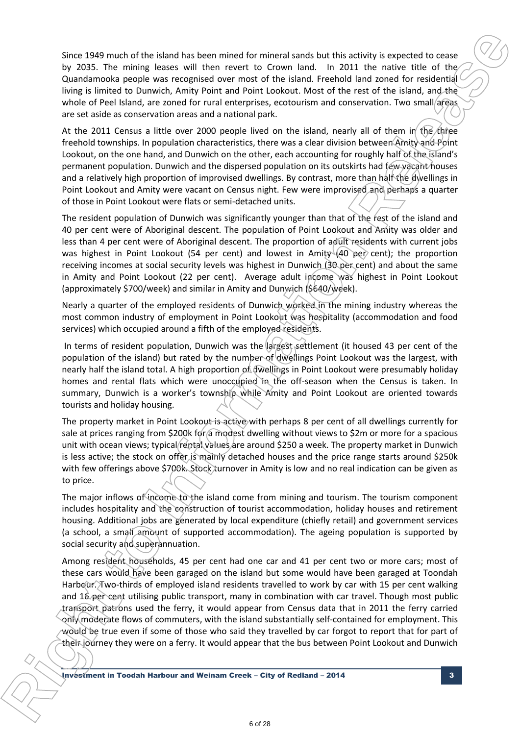Since 1949 much of the island has been mined for mineral sands but this activity is expected to cease by 2035. The mining leases will then revert to Crown land. In 2011 the native title of the Quandamooka people was recognised over most of the island. Freehold land zoned for residential living is limited to Dunwich, Amity Point and Point Lookout. Most of the rest of the island, and the whole of Peel Island, are zoned for rural enterprises, ecotourism and conservation. Two small/areas are set aside as conservation areas and a national park.

At the 2011 Census a little over 2000 people lived on the island, nearly all of them in the three freehold townships. In population characteristics, there was a clear division between Amity and Point Lookout, on the one hand, and Dunwich on the other, each accounting for roughly half of the island's permanent population. Dunwich and the dispersed population on its outskirts had few vacant houses and a relatively high proportion of improvised dwellings. By contrast, more than half the dwellings in Point Lookout and Amity were vacant on Census night. Few were improvised and perhaps a quarter of those in Point Lookout were flats or semi-detached units.

The resident population of Dunwich was significantly younger than that of the rest of the island and 40 per cent were of Aboriginal descent. The population of Point Lookout and Amity was older and less than 4 per cent were of Aboriginal descent. The proportion of adult residents with current jobs was highest in Point Lookout (54 per cent) and lowest in Amity (40 per cent); the proportion receiving incomes at social security levels was highest in Dunwich (30 per cent) and about the same in Amity and Point Lookout (22 per cent). Average adult income was highest in Point Lookout (approximately \$700/week) and similar in Amity and Dunwich (\$640/week).

Nearly a quarter of the employed residents of Dunwich worked in the mining industry whereas the most common industry of employment in Point Lookout was hospitality (accommodation and food services) which occupied around a fifth of the employed residents.

In terms of resident population, Dunwich was the largest settlement (it housed 43 per cent of the population of the island) but rated by the number of dwellings Point Lookout was the largest, with nearly half the island total. A high proportion of dwellings in Point Lookout were presumably holiday homes and rental flats which were unoccupied in the off-season when the Census is taken. In summary, Dunwich is a worker's township while Amity and Point Lookout are oriented towards tourists and holiday housing.

The property market in Point Lookout is active with perhaps 8 per cent of all dwellings currently for sale at prices ranging from \$200k for a modest dwelling without views to \$2m or more for a spacious unit with ocean views; typical rental values are around \$250 a week. The property market in Dunwich is less active; the stock on offer is mainly detached houses and the price range starts around \$250k with few offerings above \$700k. Stock turnover in Amity is low and no real indication can be given as to price.

The maior inflows of income to the island come from mining and tourism. The tourism component includes hospitality and the construction of tourist accommodation, holiday houses and retirement housing. Additional jobs are generated by local expenditure (chiefly retail) and government services (a school, a small amount of supported accommodation). The ageing population is supported by social security and superannuation.

Among resident households, 45 per cent had one car and 41 per cent two or more cars; most of these cars would have been garaged on the island but some would have been garaged at Toondah Harbour. Two-thirds of employed island residents travelled to work by car with 15 per cent walking and 16 per cent utilising public transport, many in combination with car travel. Though most public transport patrons used the ferry, it would appear from Census data that in 2011 the ferry carried only moderate flows of commuters, with the island substantially self-contained for employment. This would be true even if some of those who said they travelled by car forgot to report that for part of their journey they were on a ferry. It would appear that the bus between Point Lookout and Dunwich Since 1909 muth of the Sincerdate been mine to interest some by this activity is expected to cease by 2013. The minimize term in Convention, in 2013 the minimize term of the Information Release of the Information Release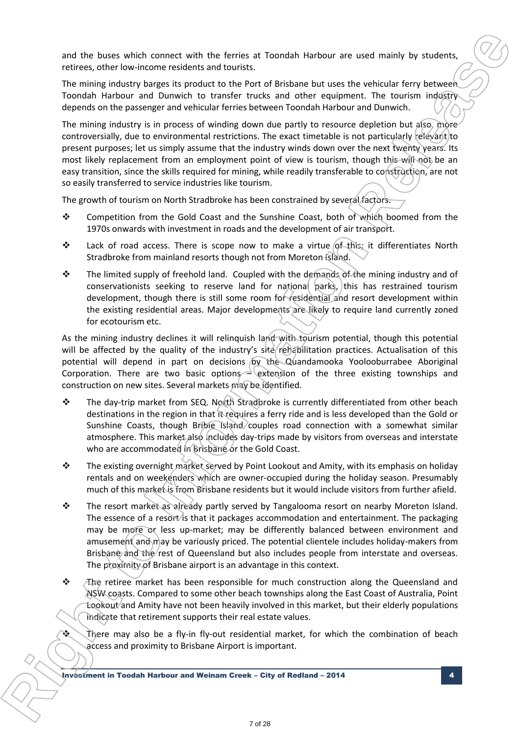and the buses which connect with the ferries at Toondah Harbour are used mainly by students, retirees, other low-income residents and tourists.

The mining industry barges its product to the Port of Brisbane but uses the vehicular ferry between Toondah Harbour and Dunwich to transfer trucks and other equipment. The tourism industry depends on the passenger and vehicular ferries between Toondah Harbour and Dunwich.

The mining industry is in process of winding down due partly to resource depletion but also, more controversially, due to environmental restrictions. The exact timetable is not particularly relevant to present purposes; let us simply assume that the industry winds down over the next twenty years. Its most likely replacement from an employment point of view is tourism, though this will not be an easy transition, since the skills required for mining, while readily transferable to construction, are not so easily transferred to service industries like tourism.

The growth of tourism on North Stradbroke has been constrained by several factors.

- Competition from the Gold Coast and the Sunshine Coast, both of which boomed from the 1970s onwards with investment in roads and the development of air transport.
- Lack of road access. There is scope now to make a virtue of this; it differentiates North Stradbroke from mainland resorts though not from Moreton Island.
- The limited supply of freehold land. Coupled with the demands of the mining industry and of conservationists seeking to reserve land for national parks, this has restrained tourism development, though there is still some room for residential and resort development within the existing residential areas. Major developments are likely to require land currently zoned for ecotourism etc.

As the mining industry declines it will relinquish land with tourism potential, though this potential will be affected by the quality of the industry's site rehabilitation practices. Actualisation of this potential will depend in part on decisions by the Quandamooka Yoolooburrabee Aboriginal Corporation. There are two basic options  $\triangleq$  extension of the three existing townships and construction on new sites. Several markets may be identified.

- The day-trip market from SEQ. North Stradbroke is currently differentiated from other beach destinations in the region in that it requires a ferry ride and is less developed than the Gold or Sunshine Coasts, though Bribie Island couples road connection with a somewhat similar atmosphere. This market also includes day-trips made by visitors from overseas and interstate who are accommodated in Brisbane or the Gold Coast.
- $\cdot \cdot$  The existing overnight market served by Point Lookout and Amity, with its emphasis on holiday rentals and on weekenders which are owner-occupied during the holiday season. Presumably much of this market is from Brisbane residents but it would include visitors from further afield.
- \* The resort market as already partly served by Tangalooma resort on nearby Moreton Island. The essence of a resort is that it packages accommodation and entertainment. The packaging may be more or less up-market; may be differently balanced between environment and amusement and may be variously priced. The potential clientele includes holiday-makers from Brisbane and the rest of Queensland but also includes people from interstate and overseas. The proximity of Brisbane airport is an advantage in this context. **ight to Interior spin connect with the first state from the Interior section in the Interior Section Fig. (2)**<br>
The main property began to provide the article and the only of the top interior spin control in the interior
	- $\div$  The retiree market has been responsible for much construction along the Queensland and NSW coasts. Compared to some other beach townships along the East Coast of Australia, Point Lookout and Amity have not been heavily involved in this market, but their elderly populations indicate that retirement supports their real estate values.

 There may also be a fly-in fly-out residential market, for which the combination of beach access and proximity to Brisbane Airport is important.

Investment in Toodah Harbour and Weinam Creek – City of Redland – 2014 4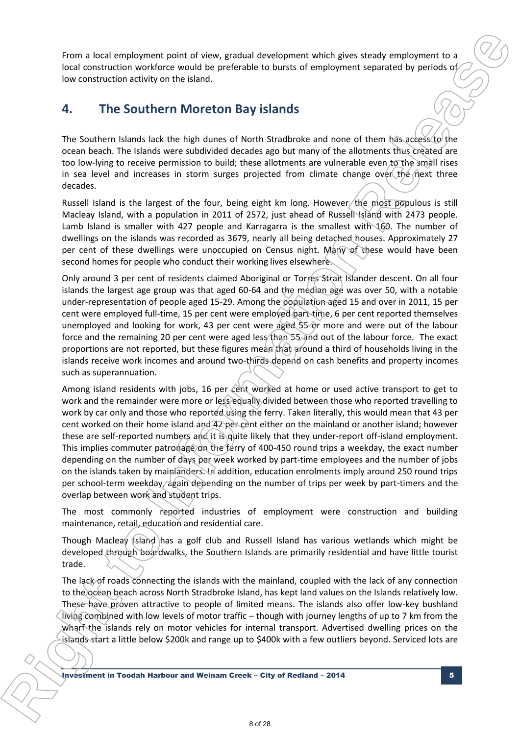From a local employment point of view, gradual development which gives steady employment to a local construction workforce would be preferable to bursts of employment separated by periods of low construction activity on the island.

# **4. The Southern Moreton Bay islands**

The Southern Islands lack the high dunes of North Stradbroke and none of them has access to the ocean beach. The Islands were subdivided decades ago but many of the allotments thus created are too low-lying to receive permission to build; these allotments are vulnerable even to the small rises in sea level and increases in storm surges projected from climate change over the next three decades.

Russell Island is the largest of the four, being eight km long. However, the most populous is still Macleay Island, with a population in 2011 of 2572, just ahead of Russell Island with 2473 people. Lamb Island is smaller with 427 people and Karragarra is the smallest with 160. The number of dwellings on the islands was recorded as 3679, nearly all being detached houses. Approximately 27 per cent of these dwellings were unoccupied on Census night. Many of these would have been second homes for people who conduct their working lives elsewhere.

Only around 3 per cent of residents claimed Aboriginal or Torres Strait Islander descent. On all four islands the largest age group was that aged 60-64 and the median age was over 50, with a notable under-representation of people aged 15-29. Among the population aged 15 and over in 2011, 15 per cent were employed full-time, 15 per cent were employed part-time, 6 per cent reported themselves unemployed and looking for work, 43 per cent were aged 55 or more and were out of the labour force and the remaining 20 per cent were aged less than 55 and out of the labour force. The exact proportions are not reported, but these figures mean that around a third of households living in the islands receive work incomes and around two-thirds depend on cash benefits and property incomes such as superannuation.

Among island residents with jobs, 16 per cent worked at home or used active transport to get to work and the remainder were more or less equally divided between those who reported travelling to work by car only and those who reported using the ferry. Taken literally, this would mean that 43 per cent worked on their home island and 42 per cent either on the mainland or another island; however these are self-reported numbers and it is quite likely that they under-report off-island employment. This implies commuter patronage on the ferry of 400-450 round trips a weekday, the exact number depending on the number of days per week worked by part-time employees and the number of jobs on the islands taken by mainlanders. In addition, education enrolments imply around 250 round trips per school-term weekday, again depending on the number of trips per week by part-timers and the overlap between work and student trips. From a local engineerant point of view, gradual development which ples season embedded in the International contents when the international contents when the internal contents when the internal contents when the internal

The most commonly reported industries of employment were construction and building maintenance, retail, education and residential care.

Though Macleay Island has a golf club and Russell Island has various wetlands which might be developed through boardwalks, the Southern Islands are primarily residential and have little tourist trade.

The lack of roads connecting the islands with the mainland, coupled with the lack of any connection to the ocean beach across North Stradbroke Island, has kept land values on the Islands relatively low. These have proven attractive to people of limited means. The islands also offer low-key bushland living combined with low levels of motor traffic – though with journey lengths of up to 7 km from the wharf the islands rely on motor vehicles for internal transport. Advertised dwelling prices on the islands start a little below \$200k and range up to \$400k with a few outliers beyond. Serviced lots are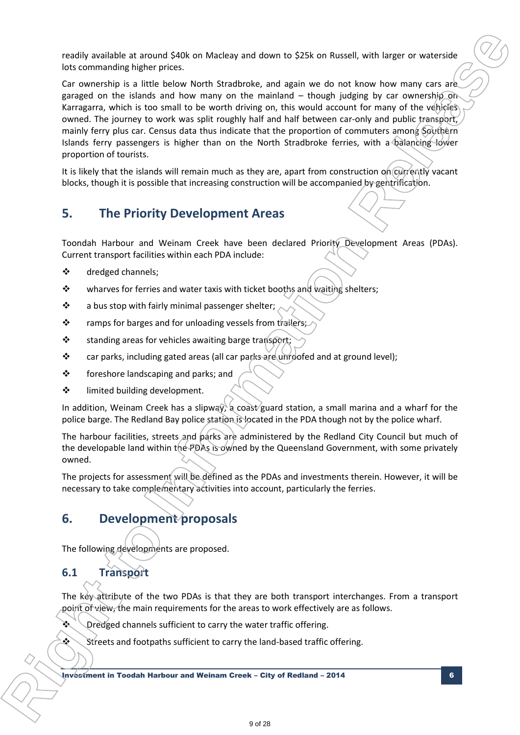readily available at around \$40k on Macleay and down to \$25k on Russell, with larger or waterside lots commanding higher prices.

Car ownership is a little below North Stradbroke, and again we do not know how many cars are garaged on the islands and how many on the mainland – though judging by car ownership on Karragarra, which is too small to be worth driving on, this would account for many of the vehicles owned. The journey to work was split roughly half and half between car-only and public transport, mainly ferry plus car. Census data thus indicate that the proportion of commuters among Southern Islands ferry passengers is higher than on the North Stradbroke ferries, with a balancing lower proportion of tourists. **incelly available at exound 50th on Metaleay and down to 525k on Russell, with angle or waverline (while the Information Release and the Information Release to Intervention Release to Intervention and the Information Rel** 

It is likely that the islands will remain much as they are, apart from construction on *currently* vacant blocks, though it is possible that increasing construction will be accompanied by gentrification.

# **5. The Priority Development Areas**

Toondah Harbour and Weinam Creek have been declared Priority Development Areas (PDAs). Current transport facilities within each PDA include:

- dredged channels;
- $\mathbf{\hat{P}}$  wharves for ferries and water taxis with ticket booths and waiting shelters;
- $\cdot \cdot$  a bus stop with fairly minimal passenger shelter;
- $\cdot \cdot$  ramps for barges and for unloading vessels from trailers;
- $\cdot$  standing areas for vehicles awaiting barge transport
- \* car parks, including gated areas (all car parks are unroofed and at ground level);
- ❖ foreshore landscaping and parks; and
- limited building development.

In addition, Weinam Creek has a slipway, a coast guard station, a small marina and a wharf for the police barge. The Redland Bay police station is located in the PDA though not by the police wharf.

The harbour facilities, streets and parks are administered by the Redland City Council but much of the developable land within the PDAs is owned by the Queensland Government, with some privately owned.

The projects for assessment will be defined as the PDAs and investments therein. However, it will be necessary to take complementary activities into account, particularly the ferries.

# **6. Development proposals**

The following developments are proposed.

# **6.1 Transport**

**R**

The key attribute of the two PDAs is that they are both transport interchanges. From a transport point of view, the main requirements for the areas to work effectively are as follows.

Dredged channels sufficient to carry the water traffic offering.

Streets and footpaths sufficient to carry the land-based traffic offering.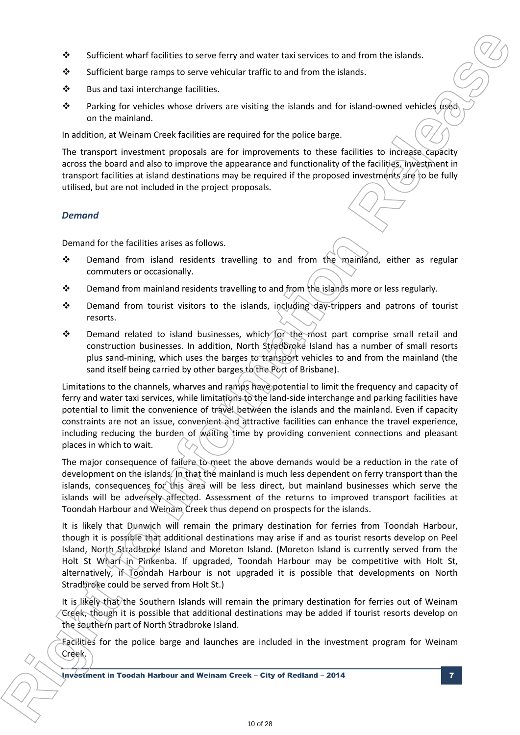- Sufficient wharf facilities to serve ferry and water taxi services to and from the islands.
- Sufficient barge ramps to serve vehicular traffic to and from the islands.
- ❖ Bus and taxi interchange facilities.
- **\*** Parking for vehicles whose drivers are visiting the islands and for island-owned vehicles used on the mainland.

In addition, at Weinam Creek facilities are required for the police barge.

The transport investment proposals are for improvements to these facilities to increase capacity across the board and also to improve the appearance and functionality of the facilities. Investment in transport facilities at island destinations may be required if the proposed investments are to be fully utilised, but are not included in the project proposals.

### *Demand*

**R**

Demand for the facilities arises as follows.

- Demand from island residents travelling to and from the mainland, either as regular commuters or occasionally.
- $\bullet$  Demand from mainland residents travelling to and from the islands more or less regularly.
- ❖ Demand from tourist visitors to the islands, including day-trippers and patrons of tourist resorts.
- \* Demand related to island businesses, which for the most part comprise small retail and construction businesses. In addition, North Stradbroke Island has a number of small resorts plus sand-mining, which uses the barges to transport vehicles to and from the mainland (the sand itself being carried by other barges to the Port of Brisbane).

Limitations to the channels, wharves and ramps have potential to limit the frequency and capacity of ferry and water taxi services, while limitations to the land-side interchange and parking facilities have potential to limit the convenience of travel between the islands and the mainland. Even if capacity constraints are not an issue, convenient and attractive facilities can enhance the travel experience, including reducing the burden of waiting time by providing convenient connections and pleasant places in which to wait. **b** Sufficient what facilities to serve term and variet to and from the standard of  $\theta$  also must be a simple to the standard from the standard from the standard from the standard from the standard from the standard from

The major consequence of failure to meet the above demands would be a reduction in the rate of development on the islands. In that the mainland is much less dependent on ferry transport than the islands, consequences for this area will be less direct, but mainland businesses which serve the islands will be adversely affected. Assessment of the returns to improved transport facilities at Toondah Harbour and Weinam Creek thus depend on prospects for the islands.

It is likely that Dunwich will remain the primary destination for ferries from Toondah Harbour, though it is possible that additional destinations may arise if and as tourist resorts develop on Peel Island, North Stradbroke Island and Moreton Island. (Moreton Island is currently served from the Holt St Wharf in Pinkenba. If upgraded, Toondah Harbour may be competitive with Holt St, alternatively, if Toondah Harbour is not upgraded it is possible that developments on North Stradbroke could be served from Holt St.)

It is likely that the Southern Islands will remain the primary destination for ferries out of Weinam Creek, though it is possible that additional destinations may be added if tourist resorts develop on the southern part of North Stradbroke Island.

Facilities for the police barge and launches are included in the investment program for Weinam Creek.

Investment in Toodah Harbour and Weinam Creek – City of Redland – 2014 7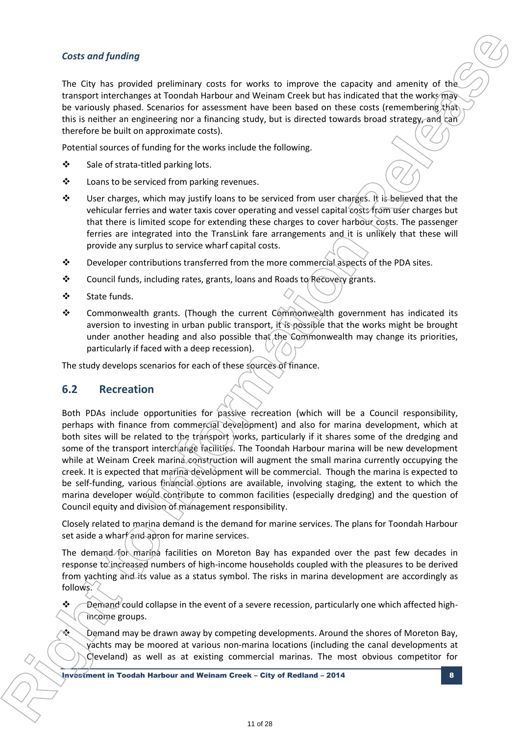### *Costs and funding*

The City has provided preliminary costs for works to improve the capacity and amenity of the transport interchanges at Toondah Harbour and Weinam Creek but has indicated that the works may be variously phased. Scenarios for assessment have been based on these costs (remembering that) this is neither an engineering nor a financing study, but is directed towards broad strategy, and can therefore be built on approximate costs).

Potential sources of funding for the works include the following.

- $\div$  Sale of strata-titled parking lots.
- ❖ Loans to be serviced from parking revenues.
- $\cdot \cdot$  User charges, which may justify loans to be serviced from user charges. It is believed that the vehicular ferries and water taxis cover operating and vessel capital costs from user charges but that there is limited scope for extending these charges to cover harbour costs. The passenger ferries are integrated into the TransLink fare arrangements and it is unlikely that these will provide any surplus to service wharf capital costs.
- $\div$  Developer contributions transferred from the more commercial aspects of the PDA sites.
- $\cdot$  Council funds, including rates, grants, loans and Roads to Recovery grants.
- State funds.
- \* Commonwealth grants. (Though the current Commonwealth government has indicated its aversion to investing in urban public transport, it is possible that the works might be brought under another heading and also possible that the Commonwealth may change its priorities, particularly if faced with a deep recession).

The study develops scenarios for each of these sources of finance.

### **6.2 Recreation**

**R**

Both PDAs include opportunities for passive recreation (which will be a Council responsibility, perhaps with finance from commercial development) and also for marina development, which at both sites will be related to the transport works, particularly if it shares some of the dredging and some of the transport interchange facilities. The Toondah Harbour marina will be new development while at Weinam Creek marina construction will augment the small marina currently occupying the creek. It is expected that marina development will be commercial. Though the marina is expected to be self-funding, various financial options are available, involving staging, the extent to which the marina developer would contribute to common facilities (especially dredging) and the question of Council equity and division of management responsibility. Costs and funding<br>The City has provided priliminary costs for worst to improve the capacity and anothing the matrix and provided in the total provide the theoretical interpretation of the matrix properties are considered i

Closely related to marina demand is the demand for marine services. The plans for Toondah Harbour set aside a wharf and apron for marine services.

The demand for marina facilities on Moreton Bay has expanded over the past few decades in response to increased numbers of high-income households coupled with the pleasures to be derived from yachting and its value as a status symbol. The risks in marina development are accordingly as follows.

 $\leftrightarrow$   $\rightarrow$  Demand could collapse in the event of a severe recession, particularly one which affected highincome groups.

**Example 20 A** Demand may be drawn away by competing developments. Around the shores of Moreton Bay, yachts may be moored at various non-marina locations (including the canal developments at Cleveland) as well as at existing commercial marinas. The most obvious competitor for

Investment in Toodah Harbour and Weinam Creek – City of Redland – 2014 8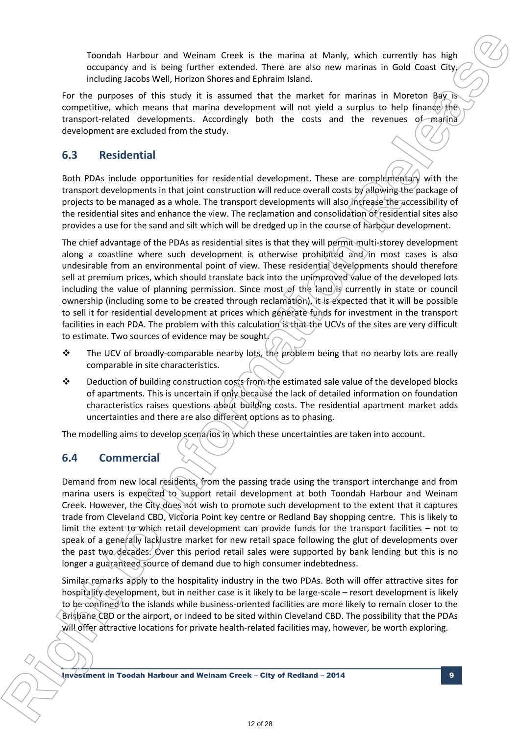Toondah Harbour and Weinam Creek is the marina at Manly, which currently has high occupancy and is being further extended. There are also new marinas in Gold Coast City, including Jacobs Well, Horizon Shores and Ephraim Island.

For the purposes of this study it is assumed that the market for marinas in Moreton Bay is competitive, which means that marina development will not yield a surplus to help finance the transport-related developments. Accordingly both the costs and the revenues of marina development are excluded from the study.

### **6.3 Residential**

Both PDAs include opportunities for residential development. These are complementary with the transport developments in that joint construction will reduce overall costs by allowing the package of projects to be managed as a whole. The transport developments will also increase the accessibility of the residential sites and enhance the view. The reclamation and consolidation of residential sites also provides a use for the sand and silt which will be dredged up in the course of harbour development.

The chief advantage of the PDAs as residential sites is that they will permit multi-storey development along a coastline where such development is otherwise prohibited and in most cases is also undesirable from an environmental point of view. These residential developments should therefore sell at premium prices, which should translate back into the unimproved value of the developed lots including the value of planning permission. Since most of the land is currently in state or council ownership (including some to be created through reclamation), it is expected that it will be possible to sell it for residential development at prices which generate funds for investment in the transport facilities in each PDA. The problem with this calculation is that the UCVs of the sites are very difficult to estimate. Two sources of evidence may be sought. Tootain Harbow and Welsean Ceek is the matrie at Mark, which currently has high coupled and a better and a local method inter are when the first to matrim a local Case of this particular inter and the matrim and the matri

- ◆ The UCV of broadly-comparable nearby lots, the problem being that no nearby lots are really comparable in site characteristics.
- $\clubsuit$  Deduction of building construction costs from the estimated sale value of the developed blocks of apartments. This is uncertain if only because the lack of detailed information on foundation characteristics raises questions about building costs. The residential apartment market adds uncertainties and there are also different options as to phasing.

The modelling aims to develop scenarios in which these uncertainties are taken into account.

### **6.4 Commercial**

**R**

Demand from new local residents, from the passing trade using the transport interchange and from marina users is expected to support retail development at both Toondah Harbour and Weinam Creek. However, the City does not wish to promote such development to the extent that it captures trade from Cleveland CBD, Victoria Point key centre or Redland Bay shopping centre. This is likely to limit the extent to which retail development can provide funds for the transport facilities – not to speak of a generally lacklustre market for new retail space following the glut of developments over the past two decades. Over this period retail sales were supported by bank lending but this is no longer a guaranteed source of demand due to high consumer indebtedness.

Similar remarks apply to the hospitality industry in the two PDAs. Both will offer attractive sites for hospitality development, but in neither case is it likely to be large-scale – resort development is likely to be confined to the islands while business-oriented facilities are more likely to remain closer to the Brisbane CBD or the airport, or indeed to be sited within Cleveland CBD. The possibility that the PDAs will offer attractive locations for private health-related facilities may, however, be worth exploring.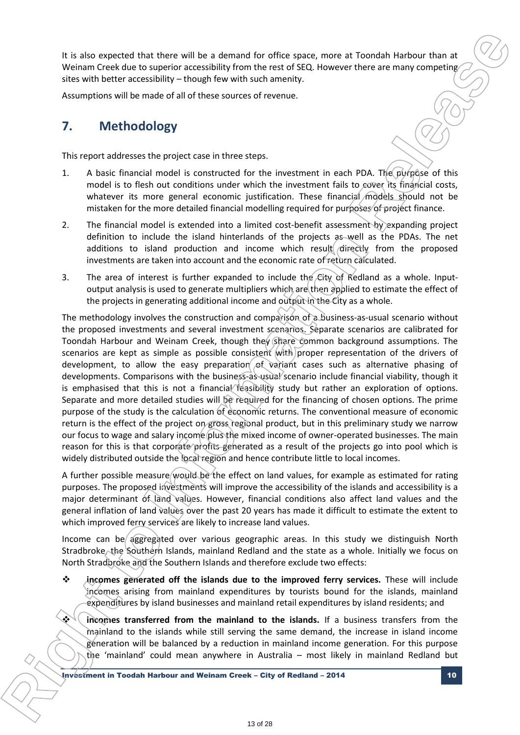It is also expected that there will be a demand for office space, more at Toondah Harbour than at Weinam Creek due to superior accessibility from the rest of SEQ. However there are many competing sites with better accessibility – though few with such amenity.

Assumptions will be made of all of these sources of revenue.

# **7. Methodology**

This report addresses the project case in three steps.

- 1. A basic financial model is constructed for the investment in each PDA. The purpose of this model is to flesh out conditions under which the investment fails to cover its financial costs, whatever its more general economic justification. These financial models should not be mistaken for the more detailed financial modelling required for purposes of project finance.
- 2. The financial model is extended into a limited cost-benefit assessment by expanding project definition to include the island hinterlands of the projects as well as the PDAs. The net additions to island production and income which result directly from the proposed investments are taken into account and the economic rate of return calculated.
- 3. The area of interest is further expanded to include the  $\mathcal{L}$ ity of Redland as a whole. Inputoutput analysis is used to generate multipliers which are then applied to estimate the effect of the projects in generating additional income and output in the City as a whole.

The methodology involves the construction and comparison of a business-as-usual scenario without the proposed investments and several investment scenarios. Separate scenarios are calibrated for Toondah Harbour and Weinam Creek, though they share common background assumptions. The scenarios are kept as simple as possible consistent with proper representation of the drivers of development, to allow the easy preparation of variant cases such as alternative phasing of developments. Comparisons with the business-as-usual scenario include financial viability, though it is emphasised that this is not a financial feasibility study but rather an exploration of options. Separate and more detailed studies will be required for the financing of chosen options. The prime purpose of the study is the calculation of economic returns. The conventional measure of economic return is the effect of the project on gross regional product, but in this preliminary study we narrow our focus to wage and salary income plus the mixed income of owner-operated businesses. The main reason for this is that corporate profits generated as a result of the projects go into pool which is widely distributed outside the local region and hence contribute little to local incomes. It is also sourcide that there will be a denoted of office scace, more at Toorialn Heriocal the actualism controlled the state superior and the internet of the Internet of the Internet of the Internet of the Internet of t

A further possible measure would be the effect on land values, for example as estimated for rating purposes. The proposed investments will improve the accessibility of the islands and accessibility is a major determinant of land values. However, financial conditions also affect land values and the general inflation of land values over the past 20 years has made it difficult to estimate the extent to which improved ferry services are likely to increase land values.

Income can be aggregated over various geographic areas. In this study we distinguish North Stradbroke, the Southern Islands, mainland Redland and the state as a whole. Initially we focus on North Stradbroke and the Southern Islands and therefore exclude two effects:

- **incomes generated off the islands due to the improved ferry services.** These will include incomes arising from mainland expenditures by tourists bound for the islands, mainland expenditures by island businesses and mainland retail expenditures by island residents; and
	- **incomes transferred from the mainland to the islands.** If a business transfers from the mainland to the islands while still serving the same demand, the increase in island income generation will be balanced by a reduction in mainland income generation. For this purpose the 'mainland' could mean anywhere in Australia – most likely in mainland Redland but

Investment in Toodah Harbour and Weinam Creek – City of Redland – 2014 10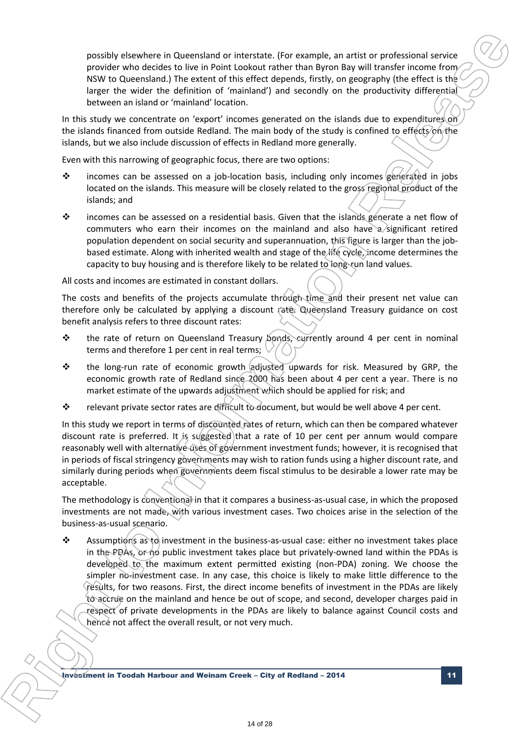possibly elsewhere in Queensland or interstate. (For example, an artist or professional service provider who decides to live in Point Lookout rather than Byron Bay will transfer income from NSW to Queensland.) The extent of this effect depends, firstly, on geography (the effect is the larger the wider the definition of 'mainland') and secondly on the productivity differential between an island or 'mainland' location.

In this study we concentrate on 'export' incomes generated on the islands due to expenditures on the islands financed from outside Redland. The main body of the study is confined to effects on the islands, but we also include discussion of effects in Redland more generally.

Even with this narrowing of geographic focus, there are two options:

- incomes can be assessed on a job-location basis, including only incomes generated in jobs located on the islands. This measure will be closely related to the gross regional product of the islands; and
- incomes can be assessed on a residential basis. Given that the islands generate a net flow of commuters who earn their incomes on the mainland and also have  $a$  significant retired population dependent on social security and superannuation, this figure is larger than the jobbased estimate. Along with inherited wealth and stage of the life cycle, income determines the capacity to buy housing and is therefore likely to be related to long-run land values.

All costs and incomes are estimated in constant dollars.

The costs and benefits of the projects accumulate through time and their present net value can therefore only be calculated by applying a discount rate, Queensland Treasury guidance on cost benefit analysis refers to three discount rates:

- \* the rate of return on Queensland Treasury opnds, currently around 4 per cent in nominal terms and therefore 1 per cent in real terms;
- $\cdot \cdot$  the long-run rate of economic growth adjusted upwards for risk. Measured by GRP, the economic growth rate of Redland since 2000 has been about 4 per cent a year. There is no market estimate of the upwards adjustment which should be applied for risk; and
- relevant private sector rates are difficult to document, but would be well above 4 per cent.

In this study we report in terms of discounted rates of return, which can then be compared whatever discount rate is preferred. It is suggested that a rate of 10 per cent per annum would compare reasonably well with alternative uses of government investment funds; however, it is recognised that in periods of fiscal stringency governments may wish to ration funds using a higher discount rate, and similarly during periods when governments deem fiscal stimulus to be desirable a lower rate may be acceptable.

The methodology is conventional in that it compares a business-as-usual case, in which the proposed investments are not made, with various investment cases. Two choices arise in the selection of the business-as-usual scenario.

\* Assumptions as to investment in the business-as-usual case: either no investment takes place in the PDAs, or no public investment takes place but privately-owned land within the PDAs is developed to the maximum extent permitted existing (non-PDA) zoning. We choose the simpler no-investment case. In any case, this choice is likely to make little difference to the results, for two reasons. First, the direct income benefits of investment in the PDAs are likely to accrue on the mainland and hence be out of scope, and second, developer charges paid in respect of private developments in the PDAs are likely to balance against Council costs and hence not affect the overall result, or not very much. **isonally elistenber in Chemistra of Interdixe I for example, an artist of molecular states and the matter of the Information Release and the International Elister Release and the Information Release and the International** 

Investment in Toodah Harbour and Weinam Creek – City of Redland – 2014 11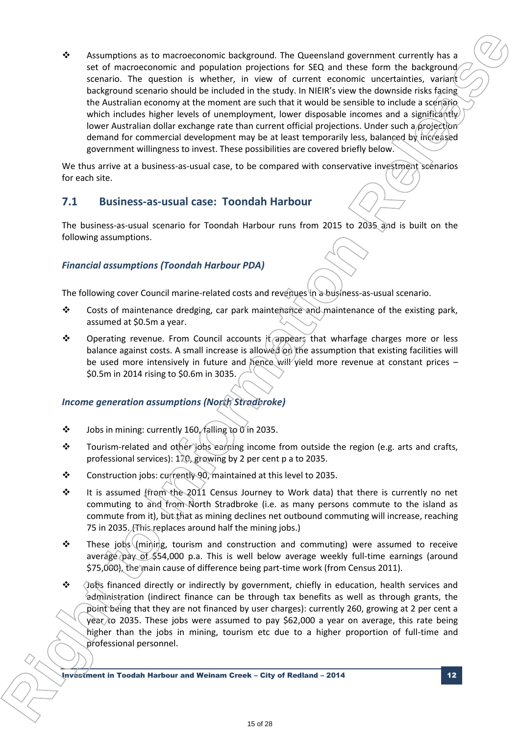$\dots$  Assumptions as to macroeconomic background. The Queensland government currently has a set of macroeconomic and population projections for SEQ and these form the background scenario. The question is whether, in view of current economic uncertainties, variant background scenario should be included in the study. In NIEIR's view the downside risks facing the Australian economy at the moment are such that it would be sensible to include a scenario. which includes higher levels of unemployment, lower disposable incomes and a significantly lower Australian dollar exchange rate than current official projections. Under such a projection demand for commercial development may be at least temporarily less, balanced by increased government willingness to invest. These possibilities are covered briefly below. **4** Assumptions as to macroesonomic background. The Questiation generation (see also for the single continued to the single continued in the single continued in the single continued in the single continued in the single c

We thus arrive at a business-as-usual case, to be compared with conservative investment scenarios for each site.

### **7.1 Business-as-usual case: Toondah Harbour**

The business-as-usual scenario for Toondah Harbour runs from 2015 to 2035 and is built on the following assumptions.

### *Financial assumptions (Toondah Harbour PDA)*

The following cover Council marine-related costs and revenues in a business-as-usual scenario.

- ❖ Costs of maintenance dredging, car park maintenance and maintenance of the existing park, assumed at \$0.5m a year.
- $\cdot \cdot$  Operating revenue. From Council accounts it appears that wharfage charges more or less balance against costs. A small increase is allowed on the assumption that existing facilities will be used more intensively in future and hence will yield more revenue at constant prices – \$0.5m in 2014 rising to \$0.6m in 3035.

### *Income generation assumptions (North Stradbroke)*

- $\cdot \cdot$  Jobs in mining: currently 160/falling to 0 in 2035.
- $\cdot \cdot$  Tourism-related and other jobs earning income from outside the region (e.g. arts and crafts, professional services): 170, growing by 2 per cent p a to 2035.
- Construction jobs: currently 90, maintained at this level to 2035.
- $\cdot \cdot$  It is assumed (from the 2011 Census Journey to Work data) that there is currently no net commuting to and from North Stradbroke (i.e. as many persons commute to the island as commute from it), but that as mining declines net outbound commuting will increase, reaching 75 in 2035. This replaces around half the mining jobs.)
- These jobs (mining, tourism and construction and commuting) were assumed to receive average pay of \$54,000 p.a. This is well below average weekly full-time earnings (around \$75,000), the main cause of difference being part-time work (from Census 2011).
- $\div$  Jiebs financed directly or indirectly by government, chiefly in education, health services and administration (indirect finance can be through tax benefits as well as through grants, the point being that they are not financed by user charges): currently 260, growing at 2 per cent a year to 2035. These jobs were assumed to pay \$62,000 a year on average, this rate being higher than the jobs in mining, tourism etc due to a higher proportion of full-time and professional personnel.

Investment in Toodah Harbour and Weinam Creek – City of Redland – 2014 12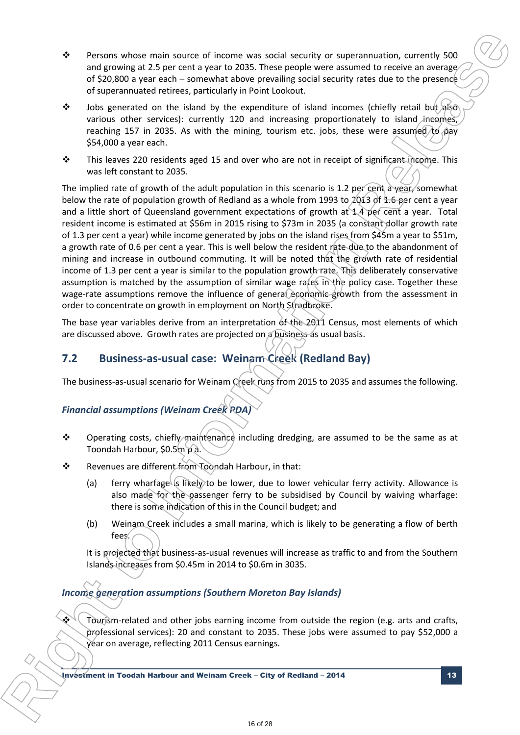- \* Persons whose main source of income was social security or superannuation, currently 500 and growing at 2.5 per cent a year to 2035. These people were assumed to receive an average of \$20,800 a year each – somewhat above prevailing social security rates due to the presence of superannuated retirees, particularly in Point Lookout.
- $\div$  Jobs generated on the island by the expenditure of island incomes (chiefly retail but also various other services): currently 120 and increasing proportionately to island incomes, reaching 157 in 2035. As with the mining, tourism etc. jobs, these were assumed  $\chi_{\beta}$  pay \$54,000 a year each.
- This leaves 220 residents aged 15 and over who are not in receipt of significant income. This was left constant to 2035.

The implied rate of growth of the adult population in this scenario is 1.2 per cent a year, somewhat below the rate of population growth of Redland as a whole from 1993 to  $2013$  of 1.6 per cent a year and a little short of Queensland government expectations of growth at 1.4 per cent a year. Total resident income is estimated at \$56m in 2015 rising to \$73m in 2035 (a constant dollar growth rate of 1.3 per cent a year) while income generated by jobs on the island rises from \$45m a year to \$51m, a growth rate of 0.6 per cent a year. This is well below the resident rate due to the abandonment of mining and increase in outbound commuting. It will be noted that the growth rate of residential income of 1.3 per cent a year is similar to the population growth rate. This deliberately conservative assumption is matched by the assumption of similar wage rates in the policy case. Together these wage-rate assumptions remove the influence of general economic growth from the assessment in order to concentrate on growth in employment on North Stradbroke. **F** Response whose main source of income sos social seculty or supersymmetrion, currently 500<br>or 1970-000 and 2.23 per cent a special 2.553. These more lowes exacted to excess exacted to the present of the Internal sectio

The base year variables derive from an interpretation of the 2011 Census, most elements of which are discussed above. Growth rates are projected on a business as usual basis.

# **7.2 Business-as-usual case: Weinam Creek (Redland Bay)**

The business-as-usual scenario for Weinam Creek runs from 2015 to 2035 and assumes the following.

### *Financial assumptions (Weinam Creek PDA)*

- $\div$  Operating costs, chiefly maintenance including dredging, are assumed to be the same as at Toondah Harbour, \$0.5m p ล.
- Revenues are different from Toondah Harbour, in that:
	- (a) ferry wharfage is likely to be lower, due to lower vehicular ferry activity. Allowance is also made for the passenger ferry to be subsidised by Council by waiving wharfage: there is some indication of this in the Council budget; and
	- (b) Weinam Creek includes a small marina, which is likely to be generating a flow of berth fees.

It is projected that business-as-usual revenues will increase as traffic to and from the Southern Islands increases from \$0.45m in 2014 to \$0.6m in 3035.

### *Income generation assumptions (Southern Moreton Bay Islands)*

 Tourism-related and other jobs earning income from outside the region (e.g. arts and crafts, professional services): 20 and constant to 2035. These jobs were assumed to pay \$52,000 a year on average, reflecting 2011 Census earnings.

Investment in Toodah Harbour and Weinam Creek – City of Redland – 2014 13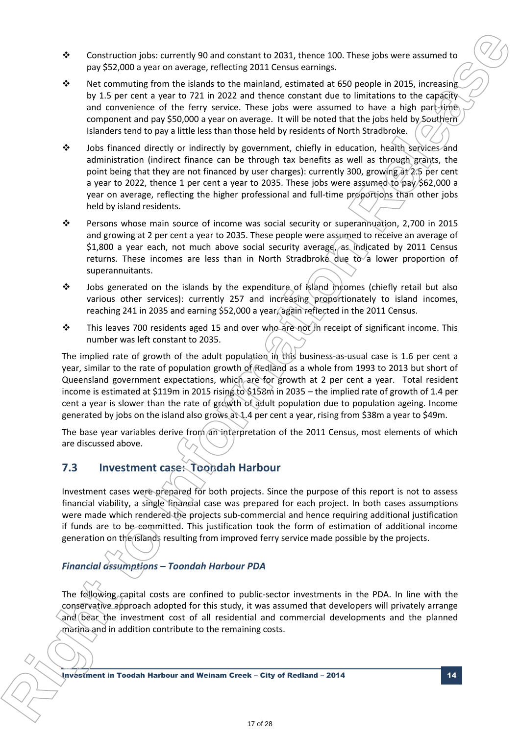- Construction jobs: currently 90 and constant to 2031, thence 100. These jobs were assumed to pay \$52,000 a year on average, reflecting 2011 Census earnings.
- Net commuting from the islands to the mainland, estimated at 650 people in 2015, increasing by 1.5 per cent a year to 721 in 2022 and thence constant due to limitations to the capacity and convenience of the ferry service. These jobs were assumed to have a high part-time component and pay \$50,000 a year on average. It will be noted that the jobs held by Southern Islanders tend to pay a little less than those held by residents of North Stradbroke.
- Jobs financed directly or indirectly by government, chiefly in education, health services and administration (indirect finance can be through tax benefits as well as through grants, the point being that they are not financed by user charges): currently 300, growing  $\frac{\partial \phi}{\partial \theta}$  per cent a year to 2022, thence 1 per cent a year to 2035. These jobs were assumed to pay \$62,000 a year on average, reflecting the higher professional and full-time proportions than other jobs held by island residents.
- \* Persons whose main source of income was social security or superannuation, 2,700 in 2015 and growing at 2 per cent a year to 2035. These people were assumed to receive an average of \$1,800 a year each, not much above social security average, as indicated by 2011 Census returns. These incomes are less than in North Stradbroke due to a lower proportion of superannuitants.
- $\div$  Jobs generated on the islands by the expenditure of island incomes (chiefly retail but also various other services): currently 257 and increasing proportionately to island incomes, reaching 241 in 2035 and earning \$52,000 a year, again reflected in the 2011 Census.
- $\div$  This leaves 700 residents aged 15 and over who are not in receipt of significant income. This number was left constant to 2035.

The implied rate of growth of the adult population in this business-as-usual case is 1.6 per cent a year, similar to the rate of population growth of Redland as a whole from 1993 to 2013 but short of Queensland government expectations, which are for growth at 2 per cent a year. Total resident income is estimated at \$119m in 2015 rising to \$158m in 2035 – the implied rate of growth of 1.4 per cent a year is slower than the rate of growth of adult population due to population ageing. Income generated by jobs on the island also grows at 1.4 per cent a year, rising from \$38m a year to \$49m. **b** Construction (other currently 50 and constant to 2013, there sixes mean bower assumes to  $\frac{1}{2}$  any constant of the Internal constant of the Internal constant of the Internal constant of the Internal constant is an

The base year variables derive from an interpretation of the 2011 Census, most elements of which are discussed above.

### **7.3 Investment case: Toondah Harbour**

Investment cases were prepared for both projects. Since the purpose of this report is not to assess financial viability, a single financial case was prepared for each project. In both cases assumptions were made which rendered the projects sub-commercial and hence requiring additional justification if funds are to be committed. This justification took the form of estimation of additional income generation on the islands resulting from improved ferry service made possible by the projects.

### *Financial assumptions – Toondah Harbour PDA*

**R**

The following capital costs are confined to public-sector investments in the PDA. In line with the conservative approach adopted for this study, it was assumed that developers will privately arrange and bear the investment cost of all residential and commercial developments and the planned marina and in addition contribute to the remaining costs.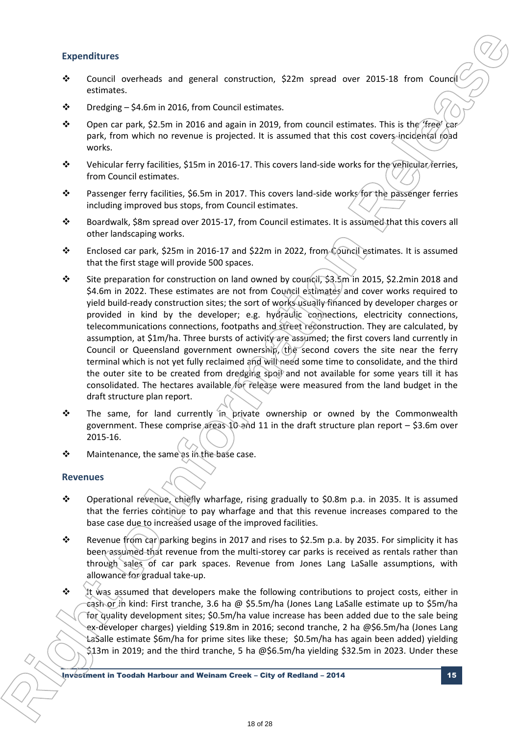### **Expenditures**

- Council overheads and general construction, \$22m spread over 2015-18 from Council estimates.
- $\cdot \cdot$  Dredging \$4.6m in 2016, from Council estimates.
- ◆ Open car park, \$2.5m in 2016 and again in 2019, from council estimates. This is the 'free' car park, from which no revenue is projected. It is assumed that this cost covers incidental road works.
- Vehicular ferry facilities, \$15m in 2016-17. This covers land-side works for the vehicular ferries, from Council estimates.
- **\*** Passenger ferry facilities, \$6.5m in 2017. This covers land-side works for the passenger ferries including improved bus stops, from Council estimates.
- Boardwalk, \$8m spread over 2015-17, from Council estimates. It is assumed that this covers all other landscaping works.
- Enclosed car park, \$25m in 2016-17 and \$22m in 2022, from Council estimates. It is assumed that the first stage will provide 500 spaces.
- Site preparation for construction on land owned by council, \$3.5m in 2015, \$2.2min 2018 and \$4.6m in 2022. These estimates are not from Council estimates and cover works required to yield build-ready construction sites; the sort of works usually financed by developer charges or provided in kind by the developer; e.g. hydraulic connections, electricity connections, telecommunications connections, footpaths and street reconstruction. They are calculated, by assumption, at \$1m/ha. Three bursts of activity are assumed; the first covers land currently in Council or Queensland government ownership, the second covers the site near the ferry terminal which is not yet fully reclaimed and will need some time to consolidate, and the third the outer site to be created from dredging spoil and not available for some years till it has consolidated. The hectares available for release were measured from the land budget in the draft structure plan report. **Expenditures**<br> **b** Council overhease and general continuous, 522m spread over 2015-18 from Council experiments.<br> **ight to release the Information Release and in 2013, from council estimates in this is the Yieldah Service** 
	- $\cdot \cdot$  The same, for land currently in private ownership or owned by the Commonwealth government. These comprise areas 10 and 11 in the draft structure plan report  $-$  \$3.6m over 2015-16.
	- Maintenance, the same as in the base case.

### **Revenues**

- Operational revenue, chiefly wharfage, rising gradually to \$0.8m p.a. in 2035. It is assumed that the ferries continue to pay wharfage and that this revenue increases compared to the base case due to increased usage of the improved facilities.
- \* Revenue from car parking begins in 2017 and rises to \$2.5m p.a. by 2035. For simplicity it has been assumed that revenue from the multi-storey car parks is received as rentals rather than through sales of car park spaces. Revenue from Jones Lang LaSalle assumptions, with allowance for gradual take-up.
- $\cdot \cdot$  It was assumed that developers make the following contributions to project costs, either in cash or in kind: First tranche, 3.6 ha @ \$5.5m/ha (Jones Lang LaSalle estimate up to \$5m/ha for quality development sites; \$0.5m/ha value increase has been added due to the sale being ex-developer charges) yielding \$19.8m in 2016; second tranche, 2 ha @\$6.5m/ha (Jones Lang LaSalle estimate \$6m/ha for prime sites like these; \$0.5m/ha has again been added) yielding \$13m in 2019; and the third tranche, 5 ha @\$6.5m/ha yielding \$32.5m in 2023. Under these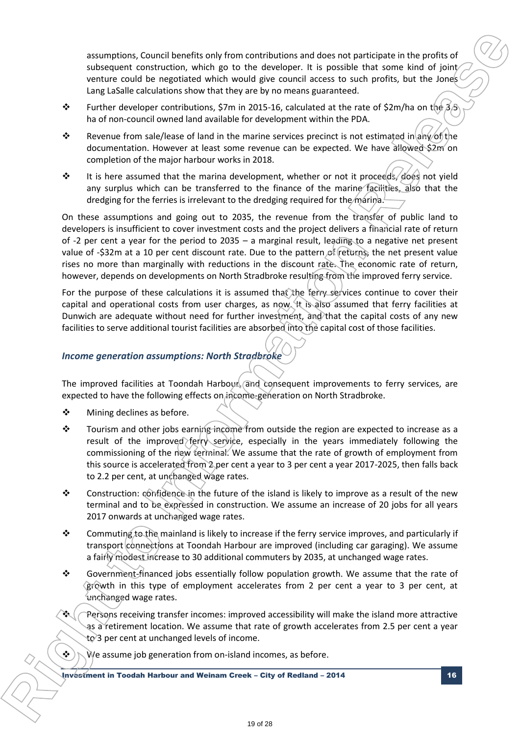assumptions, Council benefits only from contributions and does not participate in the profits of subsequent construction, which go to the developer. It is possible that some kind of joint/ venture could be negotiated which would give council access to such profits, but the Jones Lang LaSalle calculations show that they are by no means guaranteed.

- Further developer contributions, \$7m in 2015-16, calculated at the rate of \$2m/ha on the  $3.5$ ha of non-council owned land available for development within the PDA.
- Revenue from sale/lease of land in the marine services precinct is not estimated in any of the documentation. However at least some revenue can be expected. We have allowed \$2m on completion of the major harbour works in 2018.
- $\div$  It is here assumed that the marina development, whether or not it proceeds, does not yield any surplus which can be transferred to the finance of the marine facilities, also that the dredging for the ferries is irrelevant to the dredging required for the marina.

On these assumptions and going out to 2035, the revenue from the transfer of public land to developers is insufficient to cover investment costs and the project delivers a financial rate of return of -2 per cent a year for the period to 2035 – a marginal result, leading to a negative net present value of -\$32m at a 10 per cent discount rate. Due to the pattern of returns, the net present value rises no more than marginally with reductions in the discount rate. The economic rate of return, however, depends on developments on North Stradbroke resulting from the improved ferry service. **issumptions**, Coursil based by the monotonic average and considerate to the real consideration considers the monotonic monotonic and a state in the specific time are for the interest of the point of the specific time in

For the purpose of these calculations it is assumed that the ferry-services continue to cover their capital and operational costs from user charges, as now. It is also assumed that ferry facilities at Dunwich are adequate without need for further investment, and that the capital costs of any new facilities to serve additional tourist facilities are absorbed into the capital cost of those facilities.

### *Income generation assumptions: North Stradbroke*

The improved facilities at Toondah Harbour, and consequent improvements to ferry services, are expected to have the following effects on income-generation on North Stradbroke.

❖ Mining declines as before.

**R**

- $\div$  Tourism and other jobs earning income from outside the region are expected to increase as a result of the improved ferry service, especially in the years immediately following the commissioning of the new terminal. We assume that the rate of growth of employment from this source is accelerated from 2 per cent a year to 3 per cent a year 2017-2025, then falls back to 2.2 per cent, at unchanged wage rates.
- Construction: confidence in the future of the island is likely to improve as a result of the new terminal and to be expressed in construction. We assume an increase of 20 jobs for all years 2017 onwards at unchanged wage rates.
- \* Commuting to the mainland is likely to increase if the ferry service improves, and particularly if transport connections at Toondah Harbour are improved (including car garaging). We assume a fairly modest increase to 30 additional commuters by 2035, at unchanged wage rates.
- Government-financed jobs essentially follow population growth. We assume that the rate of growth in this type of employment accelerates from 2 per cent a year to 3 per cent, at unchanged wage rates.
- Persons receiving transfer incomes: improved accessibility will make the island more attractive as a retirement location. We assume that rate of growth accelerates from 2.5 per cent a year  $to$  3 per cent at unchanged levels of income.
- $\langle \cdot \rangle$  N/ve assume job generation from on-island incomes, as before.

Investment in Toodah Harbour and Weinam Creek – City of Redland – 2014 16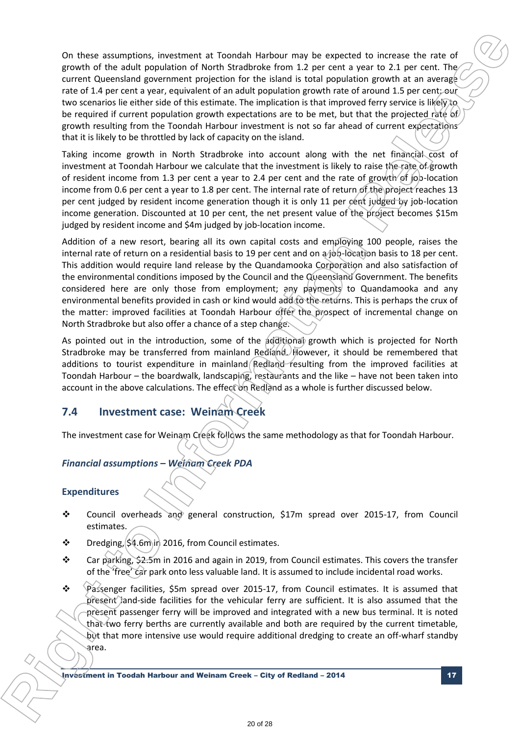On these assumptions, investment at Toondah Harbour may be expected to increase the rate of growth of the adult population of North Stradbroke from 1.2 per cent a year to 2.1 per cent. The current Queensland government projection for the island is total population growth at an average rate of 1.4 per cent a year, equivalent of an adult population growth rate of around 1.5 per cent; our two scenarios lie either side of this estimate. The implication is that improved ferry service is likely to be required if current population growth expectations are to be met, but that the projected rate of growth resulting from the Toondah Harbour investment is not so far ahead of current expectations that it is likely to be throttled by lack of capacity on the island. On these assumption, investment at "southin Harbour may be expected to increase the nixt provide of the absolution of New Similar formation Correlation (see Figure 2.1 per cent. 18, per cent. 18, per cent. 18, per cent. 1

Taking income growth in North Stradbroke into account along with the net financial cost of investment at Toondah Harbour we calculate that the investment is likely to raise the rate of growth of resident income from 1.3 per cent a year to 2.4 per cent and the rate of growth of job-location income from 0.6 per cent a year to 1.8 per cent. The internal rate of return of the project reaches 13 per cent judged by resident income generation though it is only 11 per cent judged by job-location income generation. Discounted at 10 per cent, the net present value of the project becomes \$15m judged by resident income and \$4m judged by job-location income.

Addition of a new resort, bearing all its own capital costs and employing 100 people, raises the internal rate of return on a residential basis to 19 per cent and on a job-location basis to 18 per cent. This addition would require land release by the Quandamooka Corporation and also satisfaction of the environmental conditions imposed by the Council and the Queensland Government. The benefits considered here are only those from employment; any payments to Quandamooka and any environmental benefits provided in cash or kind would add to the returns. This is perhaps the crux of the matter: improved facilities at Toondah Harbour offer the prospect of incremental change on North Stradbroke but also offer a chance of a step change.

As pointed out in the introduction, some of the additional growth which is projected for North Stradbroke may be transferred from mainland Redland. However, it should be remembered that additions to tourist expenditure in mainland Redland resulting from the improved facilities at Toondah Harbour – the boardwalk, landscaping, restaurants and the like – have not been taken into account in the above calculations. The effect on Redland as a whole is further discussed below.

### **7.4 Investment case: Weinam Creek**

The investment case for Weinam Creek follows the same methodology as that for Toondah Harbour.

### *Financial assumptions – Weinam Creek PDA*

### **Expenditures**

- Council overheads and general construction, \$17m spread over 2015-17, from Council estimates.
- $\cdot \cdot$  Dredging,  $\left( \frac{\xi}{4.6m} \right)$  in 2016, from Council estimates.
- Car parking,  $\frac{22.5m}{m}$  in 2016 and again in 2019, from Council estimates. This covers the transfer of the 'free' car park onto less valuable land. It is assumed to include incidental road works.
- $\div$  Passenger facilities, \$5m spread over 2015-17, from Council estimates. It is assumed that present land-side facilities for the vehicular ferry are sufficient. It is also assumed that the present passenger ferry will be improved and integrated with a new bus terminal. It is noted that two ferry berths are currently available and both are required by the current timetable, but that more intensive use would require additional dredging to create an off-wharf standby area.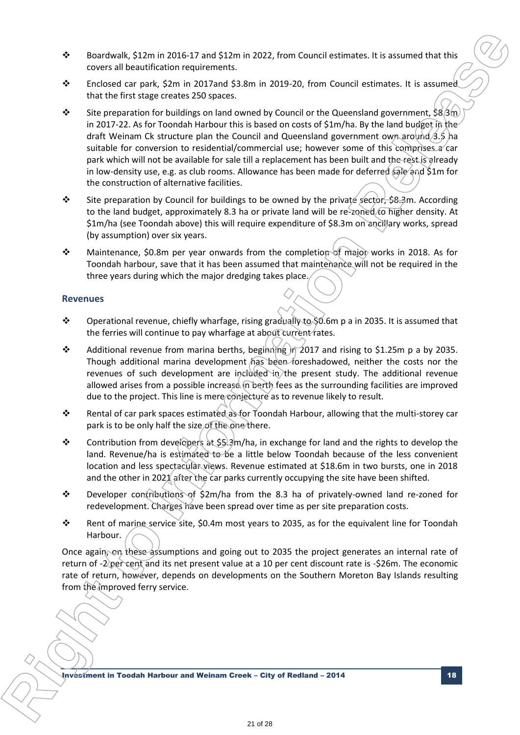- Boardwalk, \$12m in 2016-17 and \$12m in 2022, from Council estimates. It is assumed that this covers all beautification requirements.
- Enclosed car park, \$2m in 2017and \$3.8m in 2019-20, from Council estimates. It is assumed that the first stage creates 250 spaces.
- Site preparation for buildings on land owned by Council or the Queensland government,  $\$\&\text{sin}$$ in 2017-22. As for Toondah Harbour this is based on costs of \$1m/ha. By the land budget in the draft Weinam Ck structure plan the Council and Queensland government own around 3.5 ha suitable for conversion to residential/commercial use; however some of this comprises a car park which will not be available for sale till a replacement has been built and the rest is already in low-density use, e.g. as club rooms. Allowance has been made for deferred sale and \$1m for the construction of alternative facilities. **b boardons**, 5(12m in 2016-1) and 522m in 2022, two Council estimates in its season of this coverage control associates to the Interaction representation representation representation representation relevants of the In
	- Site preparation by Council for buildings to be owned by the private sector, \$8.3m. According to the land budget, approximately 8.3 ha or private land will be re-zoned to higher density. At \$1m/ha (see Toondah above) this will require expenditure of \$8.3m on ancillary works, spread (by assumption) over six years.
	- ◆ Maintenance, \$0.8m per year onwards from the completion of major works in 2018. As for Toondah harbour, save that it has been assumed that maintenance will not be required in the three years during which the major dredging takes place.

### **Revenues**

**R**

- Operational revenue, chiefly wharfage, rising gradually to \$0.6m p a in 2035. It is assumed that the ferries will continue to pay wharfage at about current rates.
- Additional revenue from marina berths, beginning  $\hat{a}$  in 2017 and rising to \$1.25m p a by 2035. Though additional marina development has been foreshadowed, neither the costs nor the revenues of such development are included in the present study. The additional revenue allowed arises from a possible increase in berth fees as the surrounding facilities are improved due to the project. This line is mere conjecture as to revenue likely to result.
- **\*** Rental of car park spaces estimated as for Toondah Harbour, allowing that the multi-storey car park is to be only half the size of the one there.
- Contribution from developers at \$5.3m/ha, in exchange for land and the rights to develop the land. Revenue/ha is estimated to be a little below Toondah because of the less convenient location and less spectacular views. Revenue estimated at \$18.6m in two bursts, one in 2018 and the other in 2021 after the car parks currently occupying the site have been shifted.
- Developer contributions of \$2m/ha from the 8.3 ha of privately-owned land re-zoned for redevelopment. Charges have been spread over time as per site preparation costs.
- \* Rent of marine service site, \$0.4m most years to 2035, as for the equivalent line for Toondah Harbour.

Once again, on these assumptions and going out to 2035 the project generates an internal rate of return of -2 per cent and its net present value at a 10 per cent discount rate is -\$26m. The economic rate of return, however, depends on developments on the Southern Moreton Bay Islands resulting from the improved ferry service.

Investment in Toodah Harbour and Weinam Creek – City of Redland – 2014 18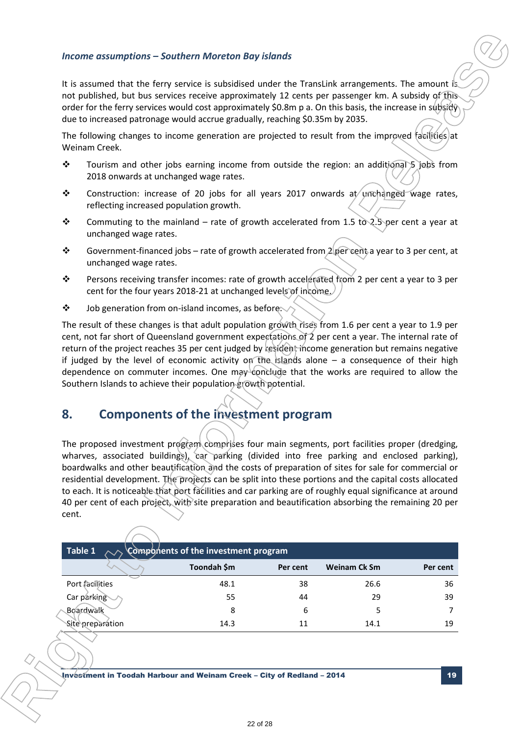### *Income assumptions – Southern Moreton Bay islands*

- $\cdot \cdot$  Tourism and other jobs earning income from outside the region: an additional 5 jobs from 2018 onwards at unchanged wage rates.
- Construction: increase of 20 jobs for all years 2017 onwards at unchanged wage rates, reflecting increased population growth.
- Commuting to the mainland rate of growth accelerated from 1.5 to 2.5 per cent a year at unchanged wage rates.
- Government-financed jobs rate of growth accelerated from 2 per cent a year to 3 per cent, at unchanged wage rates.
- Persons receiving transfer incomes: rate of growth accelerated from 2 per cent a year to 3 per cent for the four years 2018-21 at unchanged levels of income.
- $\clubsuit$  Job generation from on-island incomes, as before.

# **8. Components of the investment program**

|                  |                                         | <b>Income assumptions - Southern Moreton Bay islands</b>                                                                                                                                                                                                                                                                                                                                                                                                                                                                                                                                                                                                                                |          |                                                                                                  |                |
|------------------|-----------------------------------------|-----------------------------------------------------------------------------------------------------------------------------------------------------------------------------------------------------------------------------------------------------------------------------------------------------------------------------------------------------------------------------------------------------------------------------------------------------------------------------------------------------------------------------------------------------------------------------------------------------------------------------------------------------------------------------------------|----------|--------------------------------------------------------------------------------------------------|----------------|
|                  |                                         | It is assumed that the ferry service is subsidised under the TransLink arrangements. The amount is<br>not published, but bus services receive approximately 12 cents per passenger km. A subsidy of this<br>order for the ferry services would cost approximately \$0.8m p a. On this basis, the increase in subsidy<br>due to increased patronage would accrue gradually, reaching \$0.35m by 2035.                                                                                                                                                                                                                                                                                    |          |                                                                                                  |                |
|                  | Weinam Creek.                           | The following changes to income generation are projected to result from the improved facilities) at                                                                                                                                                                                                                                                                                                                                                                                                                                                                                                                                                                                     |          |                                                                                                  |                |
| $\ddot{\bullet}$ |                                         | Tourism and other jobs earning income from outside the region: an additional 5 jobs from<br>2018 onwards at unchanged wage rates.                                                                                                                                                                                                                                                                                                                                                                                                                                                                                                                                                       |          |                                                                                                  |                |
| $\ddot{\bullet}$ | reflecting increased population growth. | Construction: increase of 20 jobs for all years 2017 onwards at unchanged wage rates,                                                                                                                                                                                                                                                                                                                                                                                                                                                                                                                                                                                                   |          |                                                                                                  |                |
| ❖                | unchanged wage rates.                   | Commuting to the mainland - rate of growth accelerated from 1.5 to 2.5 per cent a year at                                                                                                                                                                                                                                                                                                                                                                                                                                                                                                                                                                                               |          |                                                                                                  |                |
| ❖                | unchanged wage rates.                   | Government-financed jobs - rate of growth accelerated from 2 per cent a year to 3 per cent, at                                                                                                                                                                                                                                                                                                                                                                                                                                                                                                                                                                                          |          |                                                                                                  |                |
| ❖                |                                         | Persons receiving transfer incomes: rate of growth accelerated from 2 per cent a year to 3 per<br>cent for the four years 2018-21 at unchanged levels of income                                                                                                                                                                                                                                                                                                                                                                                                                                                                                                                         |          |                                                                                                  |                |
| $\ddot{\bullet}$ |                                         | Job generation from on-island incomes, as before.                                                                                                                                                                                                                                                                                                                                                                                                                                                                                                                                                                                                                                       |          |                                                                                                  |                |
|                  |                                         | dependence on commuter incomes. One may conclude that the works are required to allow the<br>Southern Islands to achieve their population growth potential.                                                                                                                                                                                                                                                                                                                                                                                                                                                                                                                             |          | if judged by the level of economic activity on the islands alone $-$ a consequence of their high |                |
| 8.<br>cent.      |                                         | <b>Components of the investment program</b><br>The proposed investment program comprises four main segments, port facilities proper (dredging,<br>wharves, associated buildings), car parking (divided into free parking and enclosed parking),<br>boardwalks and other beautification and the costs of preparation of sites for sale for commercial or<br>residential development. The projects can be split into these portions and the capital costs allocated<br>to each. It is noticeable that port facilities and car parking are of roughly equal significance at around<br>40 per cent of each project, with site preparation and beautification absorbing the remaining 20 per |          |                                                                                                  |                |
|                  | Table 1                                 | Components of the investment program                                                                                                                                                                                                                                                                                                                                                                                                                                                                                                                                                                                                                                                    |          |                                                                                                  |                |
|                  |                                         | Toondah \$m                                                                                                                                                                                                                                                                                                                                                                                                                                                                                                                                                                                                                                                                             | Per cent | <b>Weinam Ck Sm</b>                                                                              | Per cent       |
|                  | Port facilities                         | 48.1                                                                                                                                                                                                                                                                                                                                                                                                                                                                                                                                                                                                                                                                                    | 38       | 26.6                                                                                             | 36             |
|                  | Car parking                             | 55                                                                                                                                                                                                                                                                                                                                                                                                                                                                                                                                                                                                                                                                                      | 44       | 29                                                                                               | 39             |
|                  | <b>Boardwalk</b>                        | 8                                                                                                                                                                                                                                                                                                                                                                                                                                                                                                                                                                                                                                                                                       | 6        | 5                                                                                                | $\overline{7}$ |
|                  | Site preparation                        | 14.3                                                                                                                                                                                                                                                                                                                                                                                                                                                                                                                                                                                                                                                                                    | 11       | 14.1                                                                                             | 19             |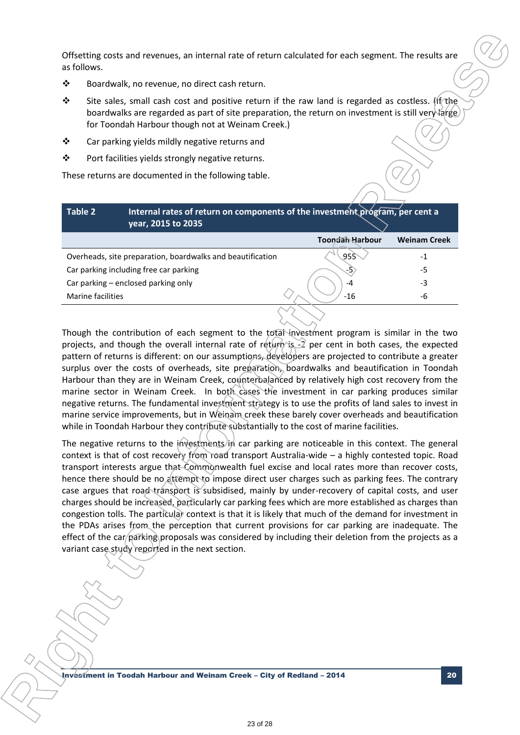Offsetting costs and revenues, an internal rate of return calculated for each segment. The results are as follows.

- Boardwalk, no revenue, no direct cash return.
- Site sales, small cash cost and positive return if the raw land is regarded as costless. If the boardwalks are regarded as part of site preparation, the return on investment is still very large for Toondah Harbour though not at Weinam Creek.)
- Car parking yields mildly negative returns and
- Port facilities yields strongly negative returns.

These returns are documented in the following table.

| Table 2           | Internal rates of return on components of the investment program, per cent a<br>year, 2015 to 2035 |                 |                     |
|-------------------|----------------------------------------------------------------------------------------------------|-----------------|---------------------|
|                   |                                                                                                    | Toondah Harbour | <b>Weinam Creek</b> |
|                   | Overheads, site preparation, boardwalks and beautification                                         | 955             | -1                  |
|                   | Car parking including free car parking                                                             | -5)             | -5                  |
|                   | Car parking - enclosed parking only                                                                | -4              | -3                  |
| Marine facilities |                                                                                                    | $-16$           | -6                  |
|                   |                                                                                                    |                 |                     |

Though the contribution of each segment to the total investment program is similar in the two projects, and though the overall internal rate of return is  $-2$  per cent in both cases, the expected pattern of returns is different: on our assumptions, developers are projected to contribute a greater surplus over the costs of overheads, site preparation, boardwalks and beautification in Toondah Harbour than they are in Weinam Creek, counterbalanced by relatively high cost recovery from the marine sector in Weinam Creek. In both cases the investment in car parking produces similar negative returns. The fundamental investment strategy is to use the profits of land sales to invest in marine service improvements, but in Weinam creek these barely cover overheads and beautification while in Toondah Harbour they contribute substantially to the cost of marine facilities.

The negative returns to the investments in car parking are noticeable in this context. The general context is that of cost recovery from road transport Australia-wide – a highly contested topic. Road transport interests argue that Commonwealth fuel excise and local rates more than recover costs, hence there should be no attempt to impose direct user charges such as parking fees. The contrary case argues that road transport is subsidised, mainly by under-recovery of capital costs, and user charges should be increased, particularly car parking fees which are more established as charges than congestion tolls. The particular context is that it is likely that much of the demand for investment in the PDAs arises from the perception that current provisions for car parking are inadequate. The effect of the car/parking proposals was considered by including their deletion from the projects as a variant case study reported in the next section. **Of Belting costs and revenues, an internal rate of edum calculated for each segment. The results are a<br>**  $\bullet$  **Bostonback, no revenue, no detect cash return.<br>**  $\bullet$  **Bostonback, no revenue, no detect cash return. If the ravi** 

Investment in Toodah Harbour and Weinam Creek – City of Redland – 2014 20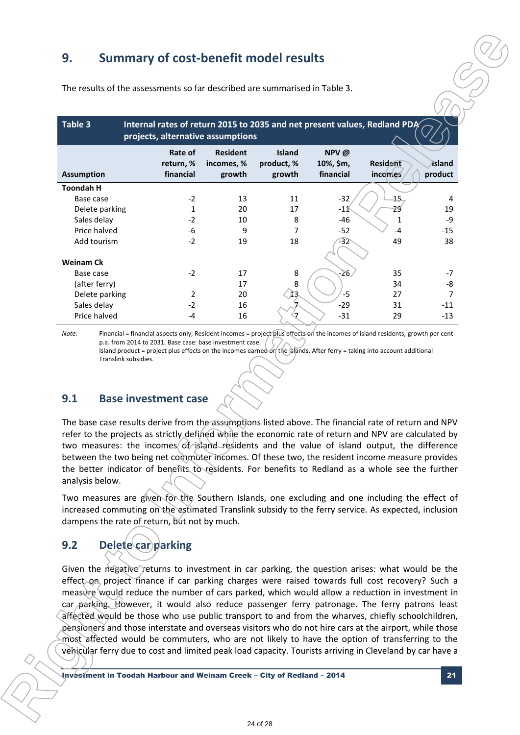# **9. Summary of cost-benefit model results**

|                                                                                                                                                                                                                                                                                                                                                                                                                                                                                                                                                                                                                                                                                                                                                                                                  | The results of the assessments so far described are summarised in Table 3. |                                         |                                       |                                |                                                                           |                   |
|--------------------------------------------------------------------------------------------------------------------------------------------------------------------------------------------------------------------------------------------------------------------------------------------------------------------------------------------------------------------------------------------------------------------------------------------------------------------------------------------------------------------------------------------------------------------------------------------------------------------------------------------------------------------------------------------------------------------------------------------------------------------------------------------------|----------------------------------------------------------------------------|-----------------------------------------|---------------------------------------|--------------------------------|---------------------------------------------------------------------------|-------------------|
| Table 3                                                                                                                                                                                                                                                                                                                                                                                                                                                                                                                                                                                                                                                                                                                                                                                          | projects, alternative assumptions                                          |                                         |                                       |                                | Internal rates of return 2015 to 2035 and net present values, Redland PDA |                   |
| <b>Assumption</b>                                                                                                                                                                                                                                                                                                                                                                                                                                                                                                                                                                                                                                                                                                                                                                                | Rate of<br>return, %<br>financial                                          | <b>Resident</b><br>incomes, %<br>growth | <b>Island</b><br>product, %<br>growth | NPV@<br>10%, \$m,<br>financial | Resident<br>incomes                                                       | Island<br>product |
|                                                                                                                                                                                                                                                                                                                                                                                                                                                                                                                                                                                                                                                                                                                                                                                                  |                                                                            |                                         |                                       |                                |                                                                           |                   |
| <b>Toondah H</b>                                                                                                                                                                                                                                                                                                                                                                                                                                                                                                                                                                                                                                                                                                                                                                                 |                                                                            |                                         |                                       |                                |                                                                           |                   |
| Base case<br>Delete parking                                                                                                                                                                                                                                                                                                                                                                                                                                                                                                                                                                                                                                                                                                                                                                      | $-2$<br>1                                                                  | 13<br>20                                | 11<br>17                              | $-32$<br>-11                   | <u>15</u><br>29                                                           | 4<br>19           |
| Sales delay                                                                                                                                                                                                                                                                                                                                                                                                                                                                                                                                                                                                                                                                                                                                                                                      | $-2$                                                                       | 10                                      | 8                                     | -46                            | 1                                                                         | -9                |
| Price halved                                                                                                                                                                                                                                                                                                                                                                                                                                                                                                                                                                                                                                                                                                                                                                                     | -6                                                                         | 9                                       | $\overline{7}$                        | $-52$                          | -4                                                                        | $-15$             |
| Add tourism                                                                                                                                                                                                                                                                                                                                                                                                                                                                                                                                                                                                                                                                                                                                                                                      | $-2$                                                                       | 19                                      | 18                                    | -32                            | 49                                                                        | 38                |
|                                                                                                                                                                                                                                                                                                                                                                                                                                                                                                                                                                                                                                                                                                                                                                                                  |                                                                            |                                         |                                       |                                |                                                                           |                   |
| <b>Weinam Ck</b>                                                                                                                                                                                                                                                                                                                                                                                                                                                                                                                                                                                                                                                                                                                                                                                 |                                                                            |                                         |                                       |                                |                                                                           |                   |
| Base case                                                                                                                                                                                                                                                                                                                                                                                                                                                                                                                                                                                                                                                                                                                                                                                        | $-2$                                                                       | 17                                      | 8                                     | $\approx$                      | 35                                                                        | $-7$              |
| (after ferry)                                                                                                                                                                                                                                                                                                                                                                                                                                                                                                                                                                                                                                                                                                                                                                                    |                                                                            | 17<br>20                                | 8                                     | $-5$                           | 34                                                                        | -8<br>7           |
| Delete parking<br>Sales delay                                                                                                                                                                                                                                                                                                                                                                                                                                                                                                                                                                                                                                                                                                                                                                    | 2<br>$-2$                                                                  | 16                                      |                                       | $-29$                          | 27<br>31                                                                  | $-11$             |
| Price halved                                                                                                                                                                                                                                                                                                                                                                                                                                                                                                                                                                                                                                                                                                                                                                                     | -4                                                                         | 16                                      |                                       | $-31$                          | 29                                                                        | $-13$             |
|                                                                                                                                                                                                                                                                                                                                                                                                                                                                                                                                                                                                                                                                                                                                                                                                  |                                                                            |                                         |                                       |                                |                                                                           |                   |
| 9.1                                                                                                                                                                                                                                                                                                                                                                                                                                                                                                                                                                                                                                                                                                                                                                                              | <b>Base investment case</b>                                                |                                         |                                       |                                |                                                                           |                   |
| The base case results derive from the assumptions listed above. The financial rate of return and NPV<br>refer to the projects as strictly defined while the economic rate of return and NPV are calculated by<br>two measures: the incomes of island residents and the value of island output, the difference<br>between the two being net commuter incomes. Of these two, the resident income measure provides<br>the better indicator of benefits to residents. For benefits to Redland as a whole see the further<br>analysis below.<br>Two measures are given for the Southern Islands, one excluding and one including the effect of<br>increased commuting on the estimated Translink subsidy to the ferry service. As expected, inclusion<br>dampens the rate of return, but not by much. |                                                                            |                                         |                                       |                                |                                                                           |                   |
| 9.2<br>Given the negative returns to investment in car parking, the question arises: what would be the                                                                                                                                                                                                                                                                                                                                                                                                                                                                                                                                                                                                                                                                                           | Delete car parking                                                         |                                         |                                       |                                |                                                                           |                   |

### **9.1 Base investment case**

# **9.2 Delete** car parking

**R**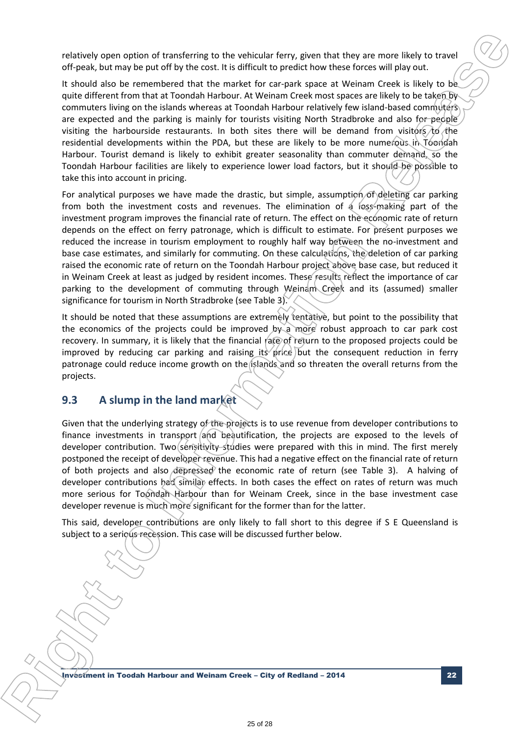relatively open option of transferring to the vehicular ferry, given that they are more likely to travel off-peak, but may be put off by the cost. It is difficult to predict how these forces will play out.

It should also be remembered that the market for car-park space at Weinam Creek is likely to be quite different from that at Toondah Harbour. At Weinam Creek most spaces are likely to be taken by commuters living on the islands whereas at Toondah Harbour relatively few island-based commuters are expected and the parking is mainly for tourists visiting North Stradbroke and also for people visiting the harbourside restaurants. In both sites there will be demand from visitors  $\chi_0$  the residential developments within the PDA, but these are likely to be more numerous in Toondah Harbour. Tourist demand is likely to exhibit greater seasonality than commuter demand, so the Toondah Harbour facilities are likely to experience lower load factors, but it should be possible to take this into account in pricing.

For analytical purposes we have made the drastic, but simple, assumption of deleting car parking from both the investment costs and revenues. The elimination of a loss-making part of the investment program improves the financial rate of return. The effect on the economic rate of return depends on the effect on ferry patronage, which is difficult to estimate. For present purposes we reduced the increase in tourism employment to roughly half way between the no-investment and base case estimates, and similarly for commuting. On these calculations, the deletion of car parking raised the economic rate of return on the Toondah Harbour project above base case, but reduced it in Weinam Creek at least as judged by resident incomes. These results reflect the importance of car parking to the development of commuting through Weinam Creek and its (assumed) smaller significance for tourism in North Stradbroke (see Table 3). relatively open collibro of translations to the wellbast hero, given that they are more likely to translation run be a similar for the information and information by the collibration of the more interest in the more inter

It should be noted that these assumptions are extremely tentative, but point to the possibility that the economics of the projects could be improved by a more robust approach to car park cost recovery. In summary, it is likely that the financial rate of return to the proposed projects could be improved by reducing car parking and raising its price but the consequent reduction in ferry patronage could reduce income growth on the islands and so threaten the overall returns from the projects.

### **9.3 A slump in the land market**

Given that the underlying strategy of the projects is to use revenue from developer contributions to finance investments in transport (and beautification, the projects are exposed to the levels of developer contribution. Two sensitivity studies were prepared with this in mind. The first merely postponed the receipt of developer revenue. This had a negative effect on the financial rate of return of both projects and also depressed the economic rate of return (see Table 3). A halving of developer contributions had similar effects. In both cases the effect on rates of return was much more serious for Toondah Harbour than for Weinam Creek, since in the base investment case developer revenue is much more significant for the former than for the latter.

This said, developer contributions are only likely to fall short to this degree if S E Queensland is subject to a serious recession. This case will be discussed further below.

Investment in Toodah Harbour and Weinam Creek – City of Redland – 2014 22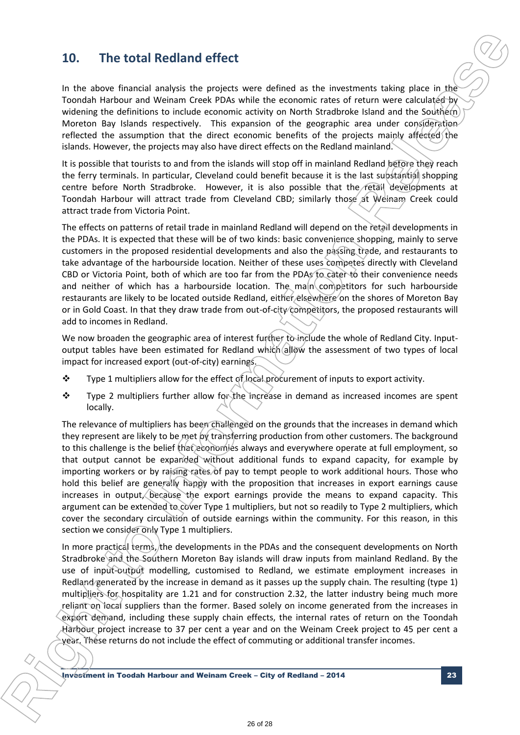# **10. The total Redland effect**

In the above financial analysis the projects were defined as the investments taking place in the Toondah Harbour and Weinam Creek PDAs while the economic rates of return were calculated by widening the definitions to include economic activity on North Stradbroke Island and the Southern Moreton Bay Islands respectively. This expansion of the geographic area under consideration reflected the assumption that the direct economic benefits of the projects mainly affected the islands. However, the projects may also have direct effects on the Redland mainland.

It is possible that tourists to and from the islands will stop off in mainland Redland before they reach the ferry terminals. In particular, Cleveland could benefit because it is the last substantial shopping centre before North Stradbroke. However, it is also possible that the retail developments at Toondah Harbour will attract trade from Cleveland CBD; similarly those at *Weinam* Creek could attract trade from Victoria Point.

The effects on patterns of retail trade in mainland Redland will depend on the retail developments in the PDAs. It is expected that these will be of two kinds: basic convenience shopping, mainly to serve customers in the proposed residential developments and also the passing trade, and restaurants to take advantage of the harbourside location. Neither of these uses competes directly with Cleveland CBD or Victoria Point, both of which are too far from the PDAs to cater to their convenience needs and neither of which has a harbourside location. The main competitors for such harbourside restaurants are likely to be located outside Redland, either elsewhere on the shores of Moreton Bay or in Gold Coast. In that they draw trade from out-of-city competitors, the proposed restaurants will add to incomes in Redland.

We now broaden the geographic area of interest further to include the whole of Redland City. Inputoutput tables have been estimated for Redland which allow the assessment of two types of local impact for increased export (out-of-city) earnings.

- \* Type 1 multipliers allow for the effect of local procurement of inputs to export activity.
- \* Type 2 multipliers further allow for the increase in demand as increased incomes are spent locally.

The relevance of multipliers has been challenged on the grounds that the increases in demand which they represent are likely to be met by transferring production from other customers. The background to this challenge is the belief that economies always and everywhere operate at full employment, so that output cannot be expanded without additional funds to expand capacity, for example by importing workers or by raising rates of pay to tempt people to work additional hours. Those who hold this belief are generally happy with the proposition that increases in export earnings cause increases in output, because the export earnings provide the means to expand capacity. This argument can be extended to cover Type 1 multipliers, but not so readily to Type 2 multipliers, which cover the secondary circulation of outside earnings within the community. For this reason, in this section we consider only Type 1 multipliers. **10.** The total Reelland effect mass and the properties of the interaction is the understanding place in the properties of the mass are interesting the properties of the system of the system of the system of the system of

In more practical terms, the developments in the PDAs and the consequent developments on North Stradbroke and the Southern Moreton Bay islands will draw inputs from mainland Redland. By the use of input-output modelling, customised to Redland, we estimate employment increases in Redland generated by the increase in demand as it passes up the supply chain. The resulting (type 1) multipliers for hospitality are 1.21 and for construction 2.32, the latter industry being much more reliant on local suppliers than the former. Based solely on income generated from the increases in export demand, including these supply chain effects, the internal rates of return on the Toondah Harbour project increase to 37 per cent a year and on the Weinam Creek project to 45 per cent a year. These returns do not include the effect of commuting or additional transfer incomes.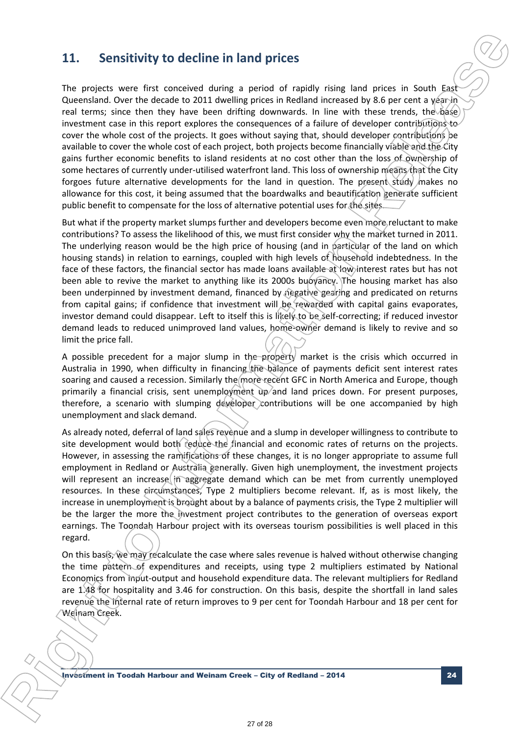## **11. Sensitivity to decline in land prices**

The projects were first conceived during a period of rapidly rising land prices in South East Queensland. Over the decade to 2011 dwelling prices in Redland increased by 8.6 per cent a year in real terms; since then they have been drifting downwards. In line with these trends, the  $\delta$ ase investment case in this report explores the consequences of a failure of developer contributions to cover the whole cost of the projects. It goes without saying that, should developer contributions be available to cover the whole cost of each project, both projects become financially viable and the City gains further economic benefits to island residents at no cost other than the loss of ownership of some hectares of currently under-utilised waterfront land. This loss of ownership means that the City forgoes future alternative developments for the land in question. The present study makes no allowance for this cost, it being assumed that the boardwalks and beautification generate sufficient public benefit to compensate for the loss of alternative potential uses for the sites. **11. Sensitivity to decline in land prices**<br>**iive prepare were for converted damps a pend of conditions and proces in South Josef Conditions (Our process in South 1920) contains the Information Formation Release to the s** 

But what if the property market slumps further and developers become even more reluctant to make contributions? To assess the likelihood of this, we must first consider why the market turned in 2011. The underlying reason would be the high price of housing (and in particular of the land on which housing stands) in relation to earnings, coupled with high levels of household indebtedness. In the face of these factors, the financial sector has made loans available at low interest rates but has not been able to revive the market to anything like its 2000s buoyancy. The housing market has also been underpinned by investment demand, financed by  $\|\hat{\theta}\|$  reading and predicated on returns from capital gains; if confidence that investment will be rewarded with capital gains evaporates, investor demand could disappear. Left to itself this is likely to be self-correcting; if reduced investor demand leads to reduced unimproved land values, home-owner demand is likely to revive and so limit the price fall.

A possible precedent for a major slump in the property market is the crisis which occurred in Australia in 1990, when difficulty in financing the balance of payments deficit sent interest rates soaring and caused a recession. Similarly the more recent GFC in North America and Europe, though primarily a financial crisis, sent unemployment up and land prices down. For present purposes, therefore, a scenario with slumping developer contributions will be one accompanied by high unemployment and slack demand.

As already noted, deferral of land sales revenue and a slump in developer willingness to contribute to site development would both reduce the financial and economic rates of returns on the projects. However, in assessing the ramifications of these changes, it is no longer appropriate to assume full employment in Redland or Australia generally. Given high unemployment, the investment projects will represent an increase in aggregate demand which can be met from currently unemployed resources. In these circumstances, Type 2 multipliers become relevant. If, as is most likely, the increase in unemployment is brought about by a balance of payments crisis, the Type 2 multiplier will be the larger the more the investment project contributes to the generation of overseas export earnings. The Toondah Harbour project with its overseas tourism possibilities is well placed in this regard.

On this basis, we may recalculate the case where sales revenue is halved without otherwise changing the time pattern of expenditures and receipts, using type 2 multipliers estimated by National Economics from input-output and household expenditure data. The relevant multipliers for Redland are 1.48 for hospitality and 3.46 for construction. On this basis, despite the shortfall in land sales revenue the internal rate of return improves to 9 per cent for Toondah Harbour and 18 per cent for Weinam Creek.

Investment in Toodah Harbour and Weinam Creek – City of Redland – 2014 24